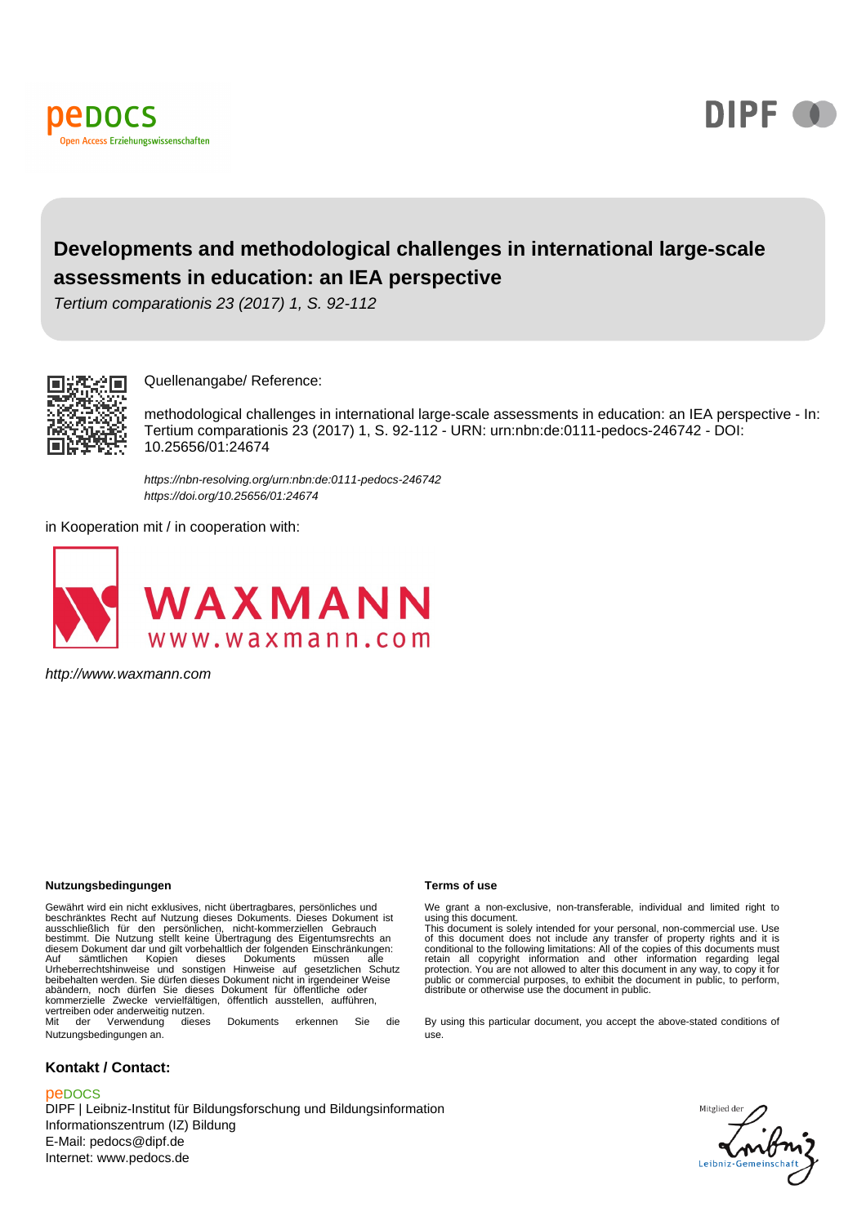



## **Developments and methodological challenges in international large-scale assessments in education: an IEA perspective**

Tertium comparationis 23 (2017) 1, S. 92-112



Quellenangabe/ Reference:

methodological challenges in international large-scale assessments in education: an IEA perspective - In: Tertium comparationis 23 (2017) 1, S. 92-112 - URN: urn:nbn:de:0111-pedocs-246742 - DOI: 10.25656/01:24674

https://nbn-resolving.org/urn:nbn:de:0111-pedocs-246742 https://doi.org/10.25656/01:24674

in Kooperation mit / in cooperation with:



http://www.waxmann.com

#### **Nutzungsbedingungen Terms of use**

Gewährt wird ein nicht exklusives, nicht übertragbares, persönliches und beschränktes Recht auf Mutzung dieses Dokuments. Dieses Dokument ist<br>ausschließlich für den persönlichen, nicht-kommerziellen Gebrauch<br>diesem Dokument dar und gilt verheblattich der folgenden Einschränktungen:<br>diesem Dokum kommerzielle Zwecke vervielfältigen, öffentlich ausstellen, aufführen, vertreiben oder anderweitig nutzen.<br>Mit der Verwendung diese dieses Dokuments erkennen Sie die

Nutzungsbedingungen an.

#### **Kontakt / Contact:**

#### peDOCS

DIPF | Leibniz-Institut für Bildungsforschung und Bildungsinformation Informationszentrum (IZ) Bildung E-Mail: pedocs@dipf.de Internet: www.pedocs.de

We grant a non-exclusive, non-transferable, individual and limited right to using this document.

This document is solely intended for your personal, non-commercial use. Use<br>of this document does not include any transfer of property rights and it is<br>conditional to the following limitations: All of the copies of this do

By using this particular document, you accept the above-stated conditions of use.

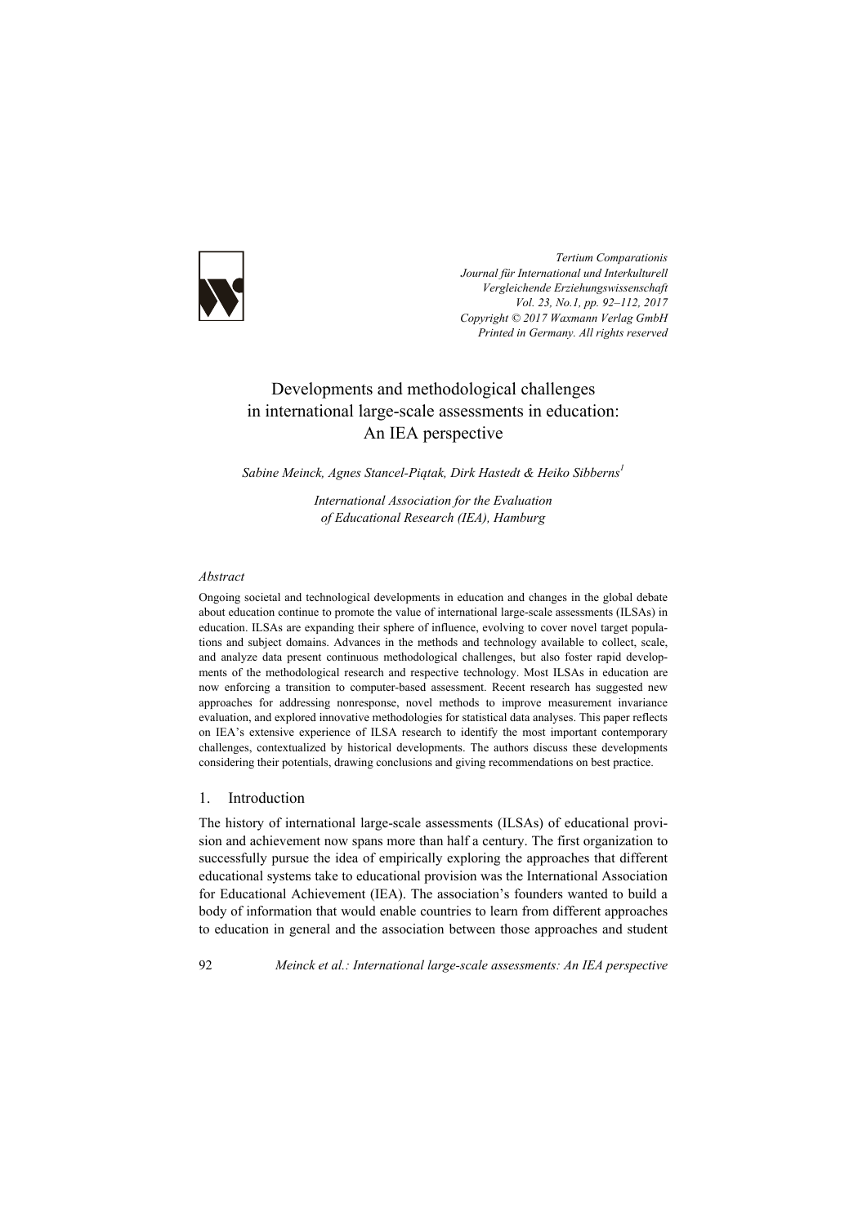

*Tertium Comparationis Journal für International und Interkulturell Vergleichende Erziehungswissenschaft Vol. 23, No.1, pp. 92–112, 2017 Copyright © 2017 Waxmann Verlag GmbH Printed in Germany. All rights reserved*

# Developments and methodological challenges in international large-scale assessments in education: An IEA perspective

*Sabine Meinck, Agnes Stancel-Piątak, Dirk Hastedt & Heiko Sibberns1*

*International Association for the Evaluation of Educational Research (IEA), Hamburg* 

#### *Abstract*

Ongoing societal and technological developments in education and changes in the global debate about education continue to promote the value of international large-scale assessments (ILSAs) in education. ILSAs are expanding their sphere of influence, evolving to cover novel target populations and subject domains. Advances in the methods and technology available to collect, scale, and analyze data present continuous methodological challenges, but also foster rapid developments of the methodological research and respective technology. Most ILSAs in education are now enforcing a transition to computer-based assessment. Recent research has suggested new approaches for addressing nonresponse, novel methods to improve measurement invariance evaluation, and explored innovative methodologies for statistical data analyses. This paper reflects on IEA's extensive experience of ILSA research to identify the most important contemporary challenges, contextualized by historical developments. The authors discuss these developments considering their potentials, drawing conclusions and giving recommendations on best practice.

## 1. Introduction

The history of international large-scale assessments (ILSAs) of educational provision and achievement now spans more than half a century. The first organization to successfully pursue the idea of empirically exploring the approaches that different educational systems take to educational provision was the International Association for Educational Achievement (IEA). The association's founders wanted to build a body of information that would enable countries to learn from different approaches to education in general and the association between those approaches and student

92 *Meinck et al.: International large-scale assessments: An IEA perspective*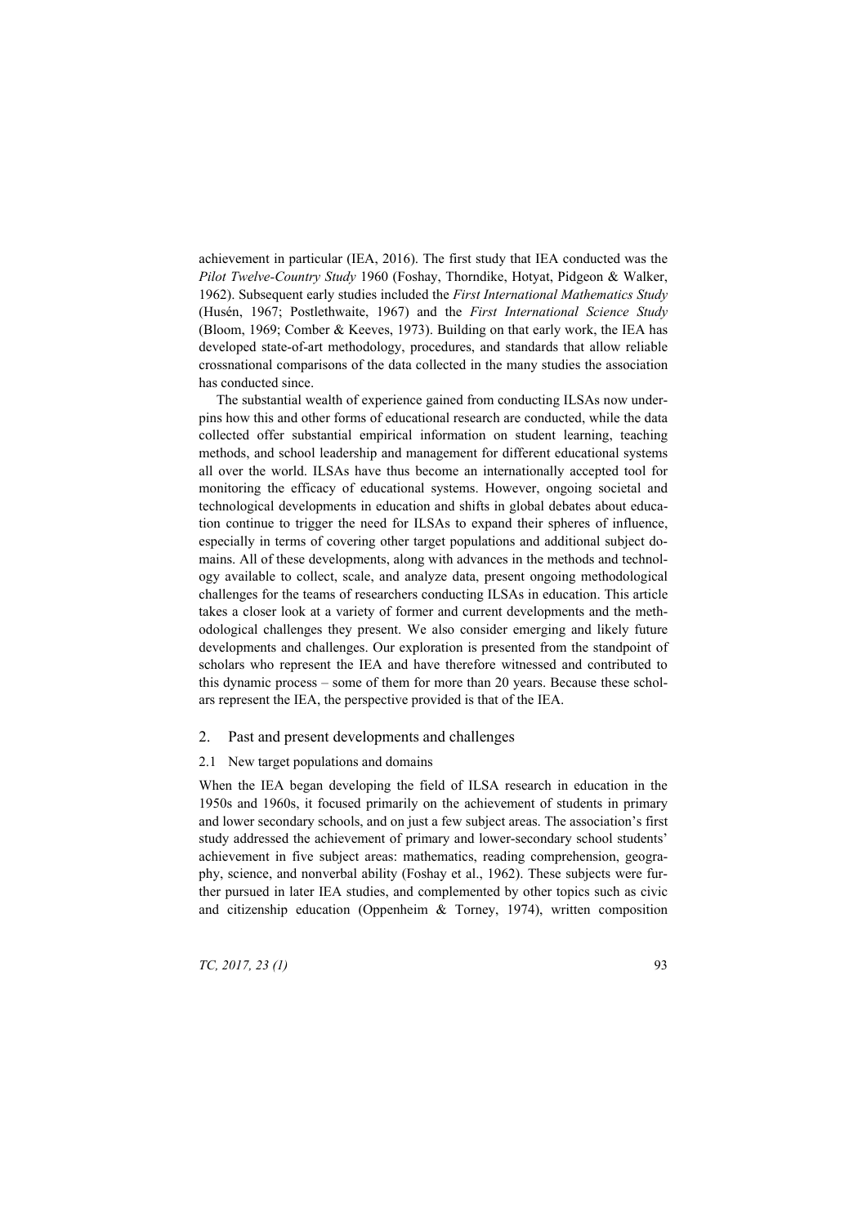achievement in particular (IEA, 2016). The first study that IEA conducted was the *Pilot Twelve-Country Study* 1960 (Foshay, Thorndike, Hotyat, Pidgeon & Walker, 1962). Subsequent early studies included the *First International Mathematics Study* (Husén, 1967; Postlethwaite, 1967) and the *First International Science Study* (Bloom, 1969; Comber & Keeves, 1973). Building on that early work, the IEA has developed state-of-art methodology, procedures, and standards that allow reliable crossnational comparisons of the data collected in the many studies the association has conducted since.

The substantial wealth of experience gained from conducting ILSAs now underpins how this and other forms of educational research are conducted, while the data collected offer substantial empirical information on student learning, teaching methods, and school leadership and management for different educational systems all over the world. ILSAs have thus become an internationally accepted tool for monitoring the efficacy of educational systems. However, ongoing societal and technological developments in education and shifts in global debates about education continue to trigger the need for ILSAs to expand their spheres of influence, especially in terms of covering other target populations and additional subject domains. All of these developments, along with advances in the methods and technology available to collect, scale, and analyze data, present ongoing methodological challenges for the teams of researchers conducting ILSAs in education. This article takes a closer look at a variety of former and current developments and the methodological challenges they present. We also consider emerging and likely future developments and challenges. Our exploration is presented from the standpoint of scholars who represent the IEA and have therefore witnessed and contributed to this dynamic process – some of them for more than 20 years. Because these scholars represent the IEA, the perspective provided is that of the IEA.

## 2. Past and present developments and challenges

2.1 New target populations and domains

When the IEA began developing the field of ILSA research in education in the 1950s and 1960s, it focused primarily on the achievement of students in primary and lower secondary schools, and on just a few subject areas. The association's first study addressed the achievement of primary and lower-secondary school students' achievement in five subject areas: mathematics, reading comprehension, geography, science, and nonverbal ability (Foshay et al., 1962). These subjects were further pursued in later IEA studies, and complemented by other topics such as civic and citizenship education (Oppenheim & Torney, 1974), written composition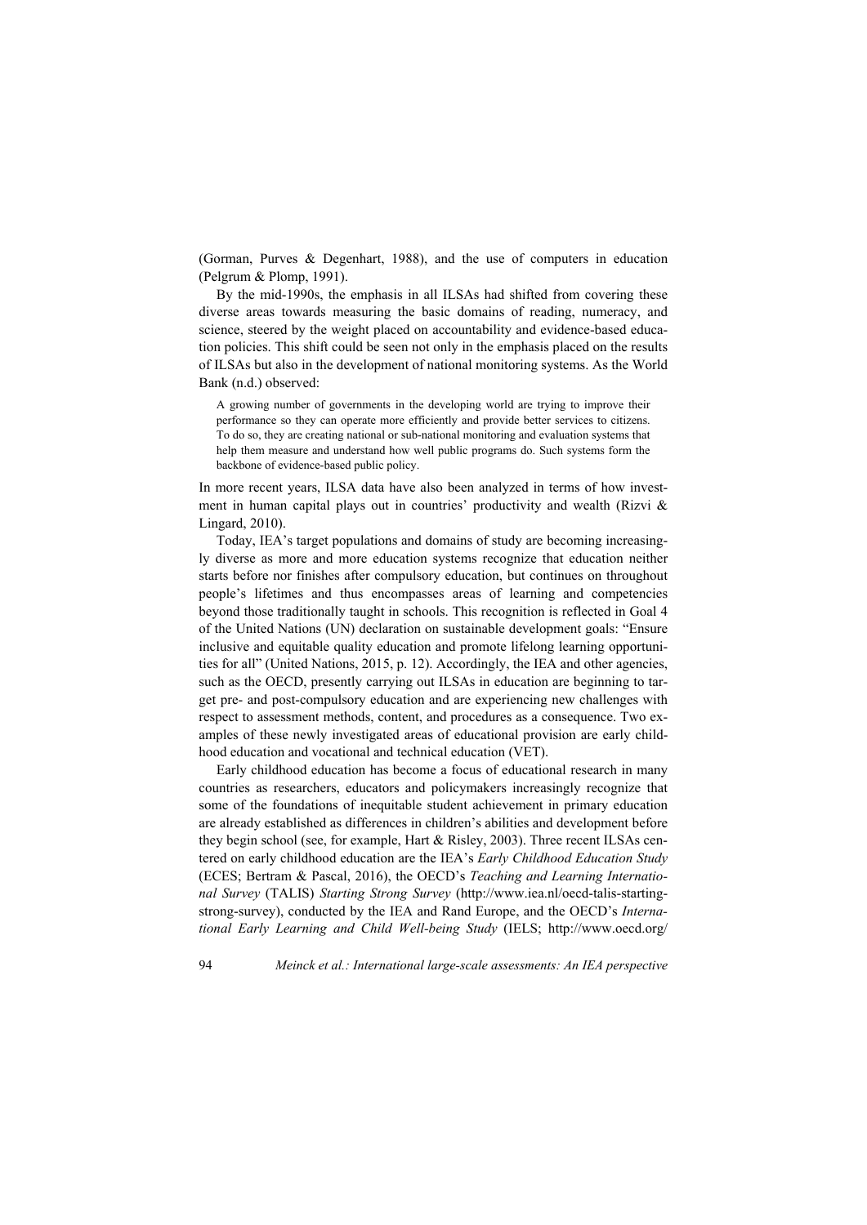(Gorman, Purves & Degenhart, 1988), and the use of computers in education (Pelgrum & Plomp, 1991).

By the mid-1990s, the emphasis in all ILSAs had shifted from covering these diverse areas towards measuring the basic domains of reading, numeracy, and science, steered by the weight placed on accountability and evidence-based education policies. This shift could be seen not only in the emphasis placed on the results of ILSAs but also in the development of national monitoring systems. As the World Bank (n.d.) observed:

A growing number of governments in the developing world are trying to improve their performance so they can operate more efficiently and provide better services to citizens. To do so, they are creating national or sub-national monitoring and evaluation systems that help them measure and understand how well public programs do. Such systems form the backbone of evidence-based public policy.

In more recent years, ILSA data have also been analyzed in terms of how investment in human capital plays out in countries' productivity and wealth (Rizvi  $\&$ Lingard, 2010).

Today, IEA's target populations and domains of study are becoming increasingly diverse as more and more education systems recognize that education neither starts before nor finishes after compulsory education, but continues on throughout people's lifetimes and thus encompasses areas of learning and competencies beyond those traditionally taught in schools. This recognition is reflected in Goal 4 of the United Nations (UN) declaration on sustainable development goals: "Ensure inclusive and equitable quality education and promote lifelong learning opportunities for all" (United Nations, 2015, p. 12). Accordingly, the IEA and other agencies, such as the OECD, presently carrying out ILSAs in education are beginning to target pre- and post-compulsory education and are experiencing new challenges with respect to assessment methods, content, and procedures as a consequence. Two examples of these newly investigated areas of educational provision are early childhood education and vocational and technical education (VET).

Early childhood education has become a focus of educational research in many countries as researchers, educators and policymakers increasingly recognize that some of the foundations of inequitable student achievement in primary education are already established as differences in children's abilities and development before they begin school (see, for example, Hart & Risley, 2003). Three recent ILSAs centered on early childhood education are the IEA's *Early Childhood Education Study* (ECES; Bertram & Pascal, 2016), the OECD's *Teaching and Learning International Survey* (TALIS) *Starting Strong Survey* (http://www.iea.nl/oecd-talis-startingstrong-survey), conducted by the IEA and Rand Europe, and the OECD's *International Early Learning and Child Well-being Study* (IELS; http://www.oecd.org/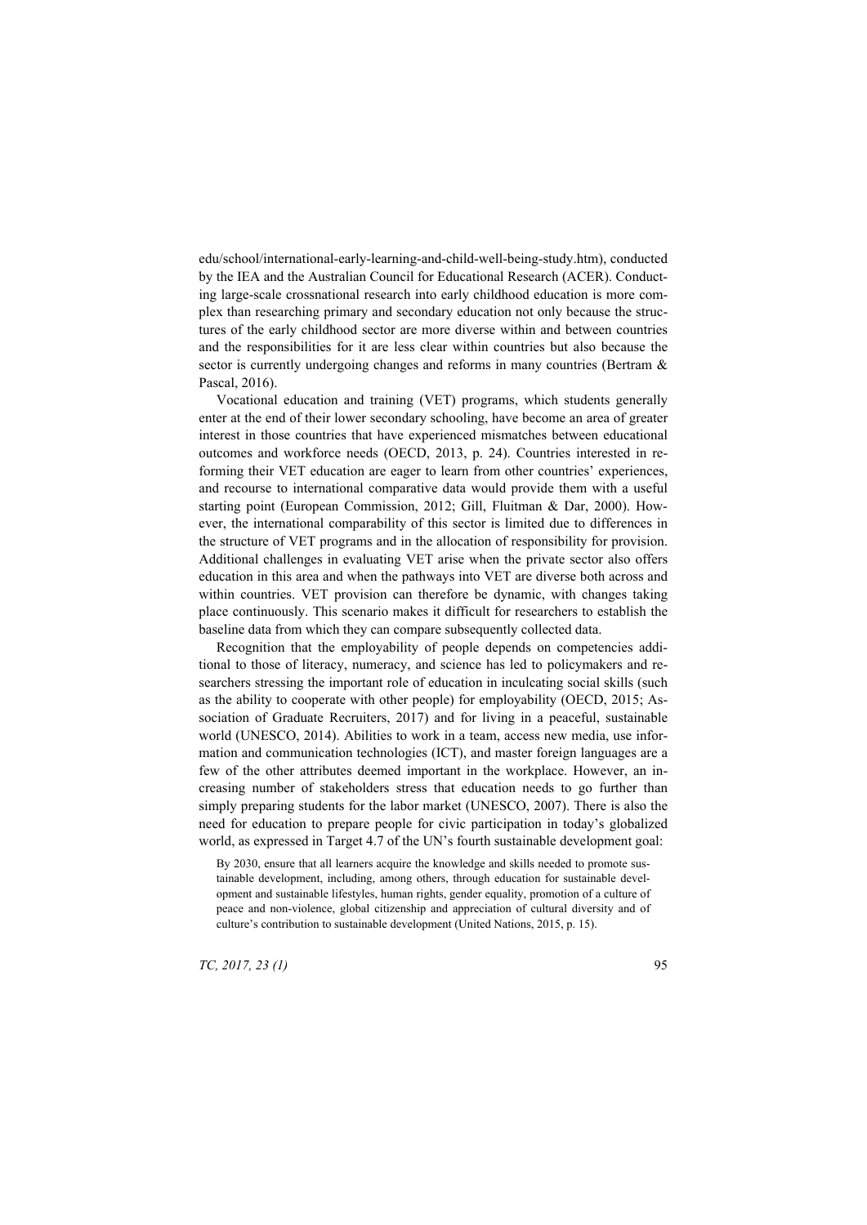edu/school/international-early-learning-and-child-well-being-study.htm), conducted by the IEA and the Australian Council for Educational Research (ACER). Conducting large-scale crossnational research into early childhood education is more complex than researching primary and secondary education not only because the structures of the early childhood sector are more diverse within and between countries and the responsibilities for it are less clear within countries but also because the sector is currently undergoing changes and reforms in many countries (Bertram & Pascal, 2016).

Vocational education and training (VET) programs, which students generally enter at the end of their lower secondary schooling, have become an area of greater interest in those countries that have experienced mismatches between educational outcomes and workforce needs (OECD, 2013, p. 24). Countries interested in reforming their VET education are eager to learn from other countries' experiences, and recourse to international comparative data would provide them with a useful starting point (European Commission, 2012; Gill, Fluitman & Dar, 2000). However, the international comparability of this sector is limited due to differences in the structure of VET programs and in the allocation of responsibility for provision. Additional challenges in evaluating VET arise when the private sector also offers education in this area and when the pathways into VET are diverse both across and within countries. VET provision can therefore be dynamic, with changes taking place continuously. This scenario makes it difficult for researchers to establish the baseline data from which they can compare subsequently collected data.

Recognition that the employability of people depends on competencies additional to those of literacy, numeracy, and science has led to policymakers and researchers stressing the important role of education in inculcating social skills (such as the ability to cooperate with other people) for employability (OECD, 2015; Association of Graduate Recruiters, 2017) and for living in a peaceful, sustainable world (UNESCO, 2014). Abilities to work in a team, access new media, use information and communication technologies (ICT), and master foreign languages are a few of the other attributes deemed important in the workplace. However, an increasing number of stakeholders stress that education needs to go further than simply preparing students for the labor market (UNESCO, 2007). There is also the need for education to prepare people for civic participation in today's globalized world, as expressed in Target 4.7 of the UN's fourth sustainable development goal:

By 2030, ensure that all learners acquire the knowledge and skills needed to promote sustainable development, including, among others, through education for sustainable development and sustainable lifestyles, human rights, gender equality, promotion of a culture of peace and non-violence, global citizenship and appreciation of cultural diversity and of culture's contribution to sustainable development (United Nations, 2015, p. 15).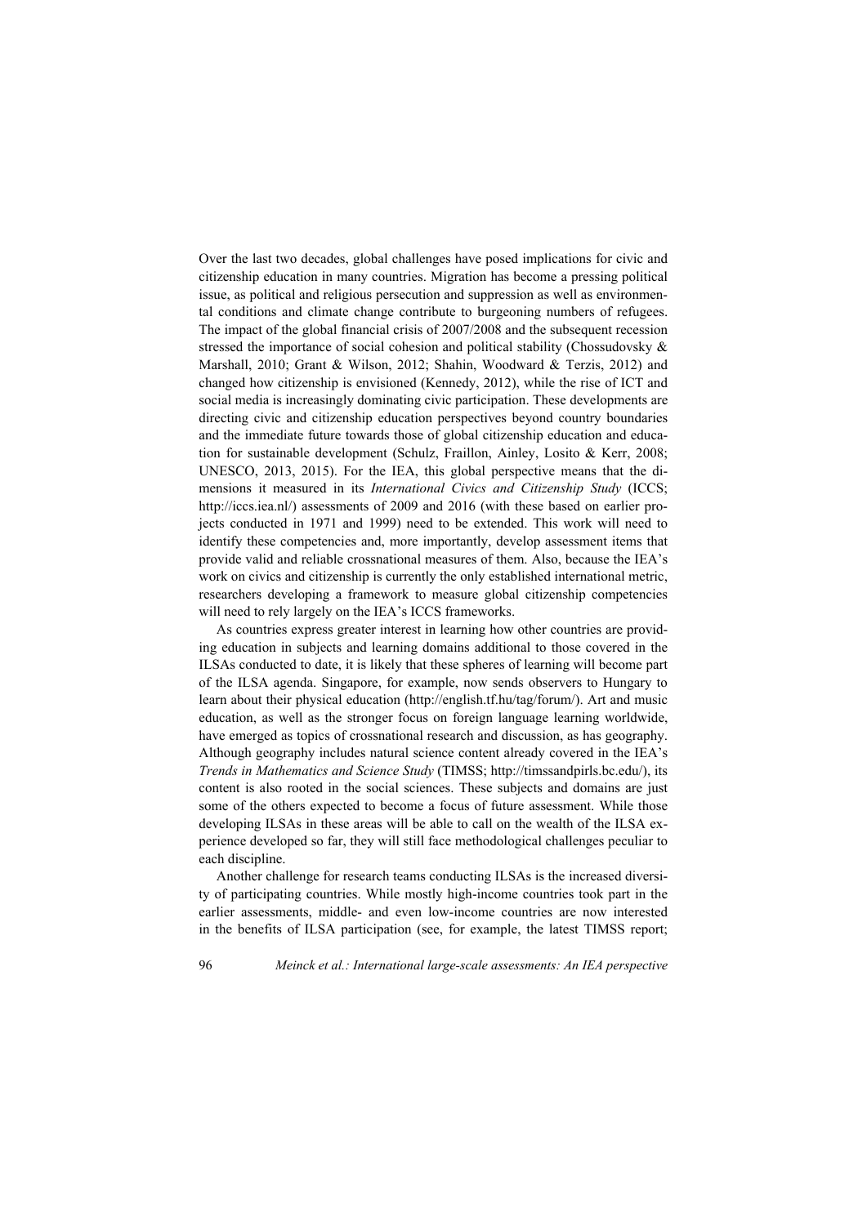Over the last two decades, global challenges have posed implications for civic and citizenship education in many countries. Migration has become a pressing political issue, as political and religious persecution and suppression as well as environmental conditions and climate change contribute to burgeoning numbers of refugees. The impact of the global financial crisis of 2007/2008 and the subsequent recession stressed the importance of social cohesion and political stability (Chossudovsky & Marshall, 2010; Grant & Wilson, 2012; Shahin, Woodward & Terzis, 2012) and changed how citizenship is envisioned (Kennedy, 2012), while the rise of ICT and social media is increasingly dominating civic participation. These developments are directing civic and citizenship education perspectives beyond country boundaries and the immediate future towards those of global citizenship education and education for sustainable development (Schulz, Fraillon, Ainley, Losito & Kerr, 2008; UNESCO, 2013, 2015). For the IEA, this global perspective means that the dimensions it measured in its *International Civics and Citizenship Study* (ICCS; http://iccs.iea.nl/) assessments of 2009 and 2016 (with these based on earlier projects conducted in 1971 and 1999) need to be extended. This work will need to identify these competencies and, more importantly, develop assessment items that provide valid and reliable crossnational measures of them. Also, because the IEA's work on civics and citizenship is currently the only established international metric, researchers developing a framework to measure global citizenship competencies will need to rely largely on the IEA's ICCS frameworks.

As countries express greater interest in learning how other countries are providing education in subjects and learning domains additional to those covered in the ILSAs conducted to date, it is likely that these spheres of learning will become part of the ILSA agenda. Singapore, for example, now sends observers to Hungary to learn about their physical education (http://english.tf.hu/tag/forum/). Art and music education, as well as the stronger focus on foreign language learning worldwide, have emerged as topics of crossnational research and discussion, as has geography. Although geography includes natural science content already covered in the IEA's *Trends in Mathematics and Science Study* (TIMSS; http://timssandpirls.bc.edu/), its content is also rooted in the social sciences. These subjects and domains are just some of the others expected to become a focus of future assessment. While those developing ILSAs in these areas will be able to call on the wealth of the ILSA experience developed so far, they will still face methodological challenges peculiar to each discipline.

Another challenge for research teams conducting ILSAs is the increased diversity of participating countries. While mostly high-income countries took part in the earlier assessments, middle- and even low-income countries are now interested in the benefits of ILSA participation (see, for example, the latest TIMSS report;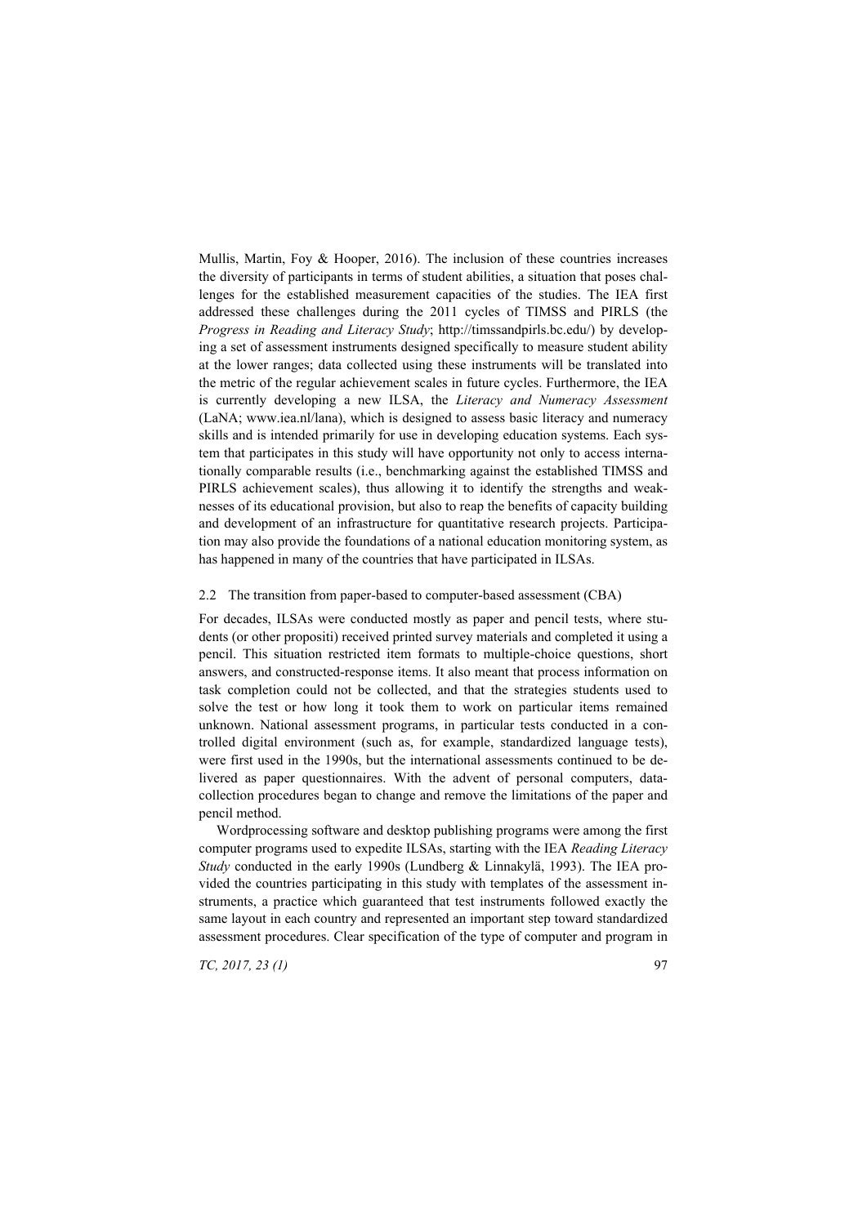Mullis, Martin, Foy  $\&$  Hooper, 2016). The inclusion of these countries increases the diversity of participants in terms of student abilities, a situation that poses challenges for the established measurement capacities of the studies. The IEA first addressed these challenges during the 2011 cycles of TIMSS and PIRLS (the *Progress in Reading and Literacy Study*; http://timssandpirls.bc.edu/) by developing a set of assessment instruments designed specifically to measure student ability at the lower ranges; data collected using these instruments will be translated into the metric of the regular achievement scales in future cycles. Furthermore, the IEA is currently developing a new ILSA, the *Literacy and Numeracy Assessment* (LaNA; www.iea.nl/lana), which is designed to assess basic literacy and numeracy skills and is intended primarily for use in developing education systems. Each system that participates in this study will have opportunity not only to access internationally comparable results (i.e., benchmarking against the established TIMSS and PIRLS achievement scales), thus allowing it to identify the strengths and weaknesses of its educational provision, but also to reap the benefits of capacity building and development of an infrastructure for quantitative research projects. Participation may also provide the foundations of a national education monitoring system, as has happened in many of the countries that have participated in ILSAs.

#### 2.2 The transition from paper-based to computer-based assessment (CBA)

For decades, ILSAs were conducted mostly as paper and pencil tests, where students (or other propositi) received printed survey materials and completed it using a pencil. This situation restricted item formats to multiple-choice questions, short answers, and constructed-response items. It also meant that process information on task completion could not be collected, and that the strategies students used to solve the test or how long it took them to work on particular items remained unknown. National assessment programs, in particular tests conducted in a controlled digital environment (such as, for example, standardized language tests), were first used in the 1990s, but the international assessments continued to be delivered as paper questionnaires. With the advent of personal computers, datacollection procedures began to change and remove the limitations of the paper and pencil method.

Wordprocessing software and desktop publishing programs were among the first computer programs used to expedite ILSAs, starting with the IEA *Reading Literacy Study* conducted in the early 1990s (Lundberg & Linnakylä, 1993). The IEA provided the countries participating in this study with templates of the assessment instruments, a practice which guaranteed that test instruments followed exactly the same layout in each country and represented an important step toward standardized assessment procedures. Clear specification of the type of computer and program in

*TC, 2017, 23 (1)* 97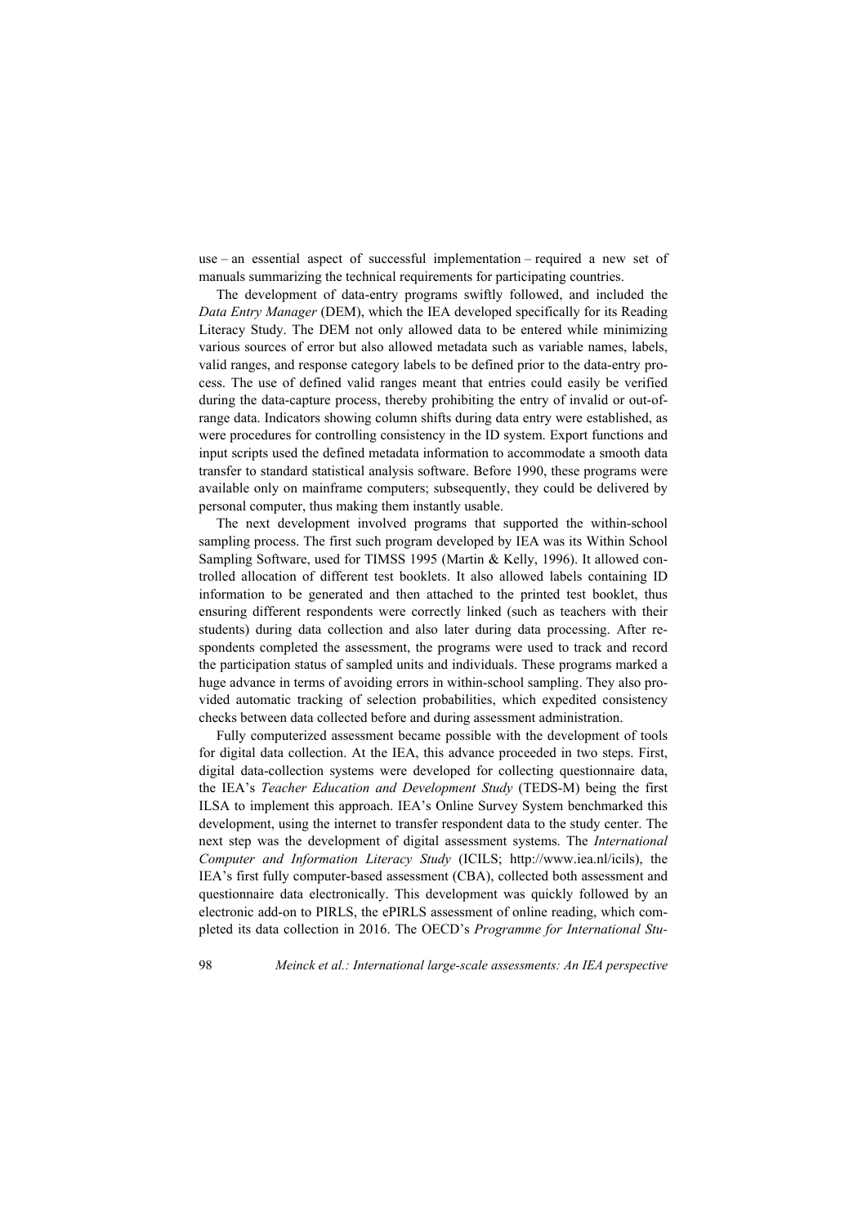use – an essential aspect of successful implementation – required a new set of manuals summarizing the technical requirements for participating countries.

The development of data-entry programs swiftly followed, and included the *Data Entry Manager* (DEM), which the IEA developed specifically for its Reading Literacy Study. The DEM not only allowed data to be entered while minimizing various sources of error but also allowed metadata such as variable names, labels, valid ranges, and response category labels to be defined prior to the data-entry process. The use of defined valid ranges meant that entries could easily be verified during the data-capture process, thereby prohibiting the entry of invalid or out-ofrange data. Indicators showing column shifts during data entry were established, as were procedures for controlling consistency in the ID system. Export functions and input scripts used the defined metadata information to accommodate a smooth data transfer to standard statistical analysis software. Before 1990, these programs were available only on mainframe computers; subsequently, they could be delivered by personal computer, thus making them instantly usable.

The next development involved programs that supported the within-school sampling process. The first such program developed by IEA was its Within School Sampling Software, used for TIMSS 1995 (Martin & Kelly, 1996). It allowed controlled allocation of different test booklets. It also allowed labels containing ID information to be generated and then attached to the printed test booklet, thus ensuring different respondents were correctly linked (such as teachers with their students) during data collection and also later during data processing. After respondents completed the assessment, the programs were used to track and record the participation status of sampled units and individuals. These programs marked a huge advance in terms of avoiding errors in within-school sampling. They also provided automatic tracking of selection probabilities, which expedited consistency checks between data collected before and during assessment administration.

Fully computerized assessment became possible with the development of tools for digital data collection. At the IEA, this advance proceeded in two steps. First, digital data-collection systems were developed for collecting questionnaire data, the IEA's *Teacher Education and Development Study* (TEDS-M) being the first ILSA to implement this approach. IEA's Online Survey System benchmarked this development, using the internet to transfer respondent data to the study center. The next step was the development of digital assessment systems. The *International Computer and Information Literacy Study* (ICILS; http://www.iea.nl/icils), the IEA's first fully computer-based assessment (CBA), collected both assessment and questionnaire data electronically. This development was quickly followed by an electronic add-on to PIRLS, the ePIRLS assessment of online reading, which completed its data collection in 2016. The OECD's *Programme for International Stu-*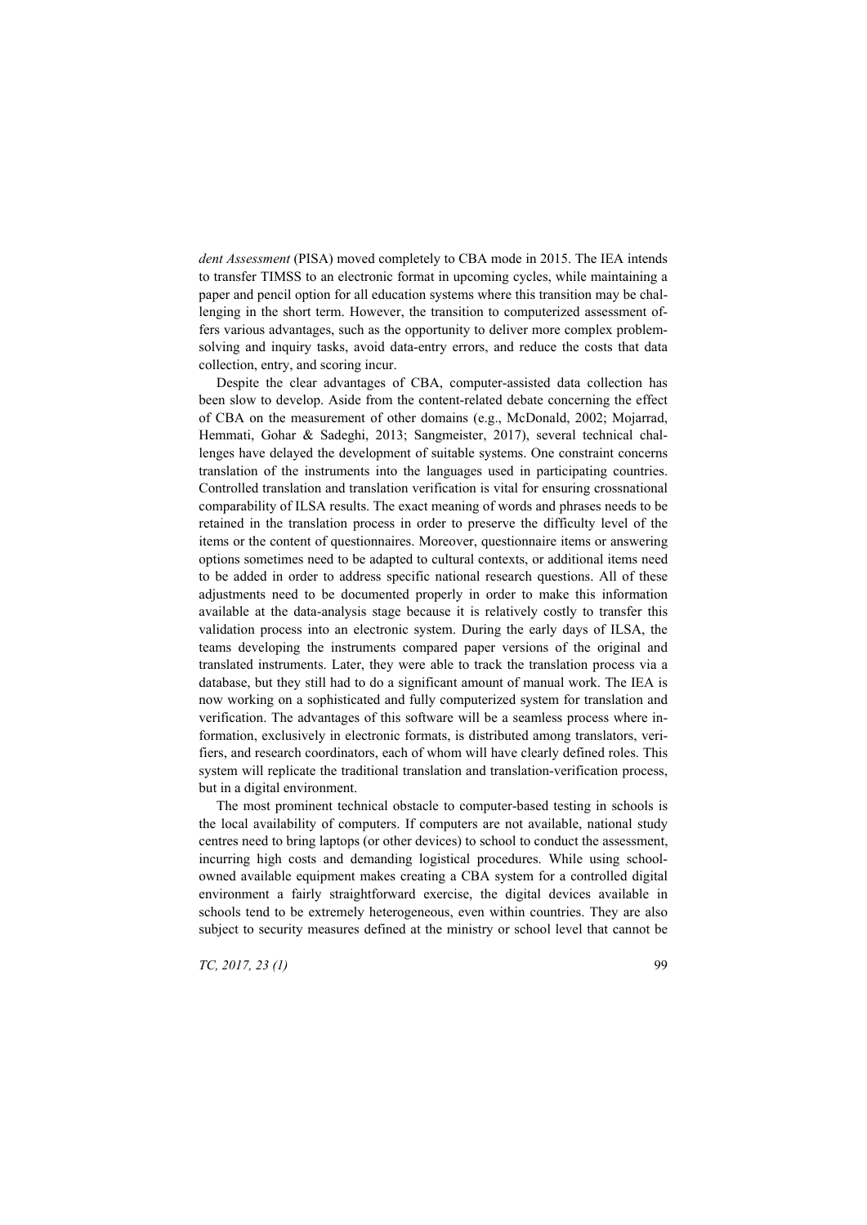*dent Assessment* (PISA) moved completely to CBA mode in 2015. The IEA intends to transfer TIMSS to an electronic format in upcoming cycles, while maintaining a paper and pencil option for all education systems where this transition may be challenging in the short term. However, the transition to computerized assessment offers various advantages, such as the opportunity to deliver more complex problemsolving and inquiry tasks, avoid data-entry errors, and reduce the costs that data collection, entry, and scoring incur.

Despite the clear advantages of CBA, computer-assisted data collection has been slow to develop. Aside from the content-related debate concerning the effect of CBA on the measurement of other domains (e.g., McDonald, 2002; Mojarrad, Hemmati, Gohar & Sadeghi, 2013; Sangmeister, 2017), several technical challenges have delayed the development of suitable systems. One constraint concerns translation of the instruments into the languages used in participating countries. Controlled translation and translation verification is vital for ensuring crossnational comparability of ILSA results. The exact meaning of words and phrases needs to be retained in the translation process in order to preserve the difficulty level of the items or the content of questionnaires. Moreover, questionnaire items or answering options sometimes need to be adapted to cultural contexts, or additional items need to be added in order to address specific national research questions. All of these adjustments need to be documented properly in order to make this information available at the data-analysis stage because it is relatively costly to transfer this validation process into an electronic system. During the early days of ILSA, the teams developing the instruments compared paper versions of the original and translated instruments. Later, they were able to track the translation process via a database, but they still had to do a significant amount of manual work. The IEA is now working on a sophisticated and fully computerized system for translation and verification. The advantages of this software will be a seamless process where information, exclusively in electronic formats, is distributed among translators, verifiers, and research coordinators, each of whom will have clearly defined roles. This system will replicate the traditional translation and translation-verification process, but in a digital environment.

The most prominent technical obstacle to computer-based testing in schools is the local availability of computers. If computers are not available, national study centres need to bring laptops (or other devices) to school to conduct the assessment, incurring high costs and demanding logistical procedures. While using schoolowned available equipment makes creating a CBA system for a controlled digital environment a fairly straightforward exercise, the digital devices available in schools tend to be extremely heterogeneous, even within countries. They are also subject to security measures defined at the ministry or school level that cannot be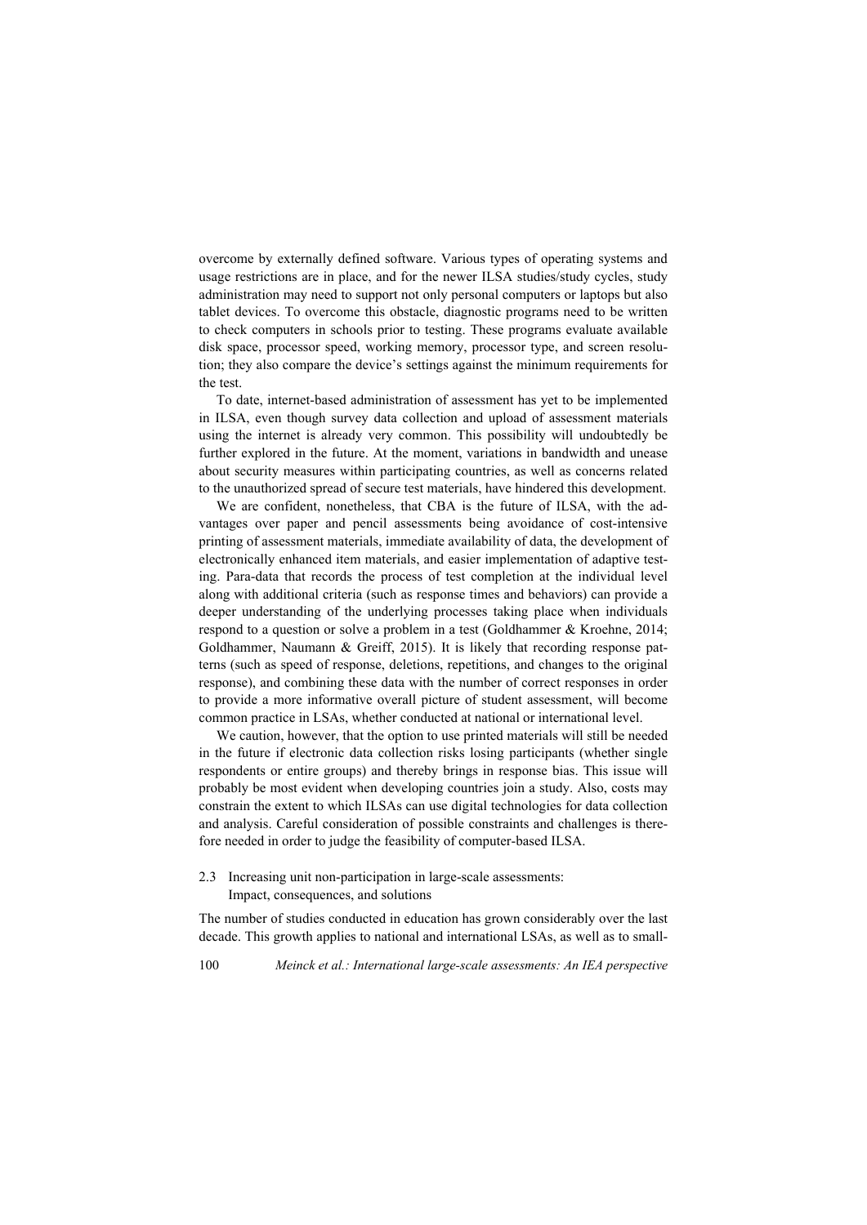overcome by externally defined software. Various types of operating systems and usage restrictions are in place, and for the newer ILSA studies/study cycles, study administration may need to support not only personal computers or laptops but also tablet devices. To overcome this obstacle, diagnostic programs need to be written to check computers in schools prior to testing. These programs evaluate available disk space, processor speed, working memory, processor type, and screen resolution; they also compare the device's settings against the minimum requirements for the test.

To date, internet-based administration of assessment has yet to be implemented in ILSA, even though survey data collection and upload of assessment materials using the internet is already very common. This possibility will undoubtedly be further explored in the future. At the moment, variations in bandwidth and unease about security measures within participating countries, as well as concerns related to the unauthorized spread of secure test materials, have hindered this development.

We are confident, nonetheless, that CBA is the future of ILSA, with the advantages over paper and pencil assessments being avoidance of cost-intensive printing of assessment materials, immediate availability of data, the development of electronically enhanced item materials, and easier implementation of adaptive testing. Para-data that records the process of test completion at the individual level along with additional criteria (such as response times and behaviors) can provide a deeper understanding of the underlying processes taking place when individuals respond to a question or solve a problem in a test (Goldhammer & Kroehne, 2014; Goldhammer, Naumann & Greiff, 2015). It is likely that recording response patterns (such as speed of response, deletions, repetitions, and changes to the original response), and combining these data with the number of correct responses in order to provide a more informative overall picture of student assessment, will become common practice in LSAs, whether conducted at national or international level.

We caution, however, that the option to use printed materials will still be needed in the future if electronic data collection risks losing participants (whether single respondents or entire groups) and thereby brings in response bias. This issue will probably be most evident when developing countries join a study. Also, costs may constrain the extent to which ILSAs can use digital technologies for data collection and analysis. Careful consideration of possible constraints and challenges is therefore needed in order to judge the feasibility of computer-based ILSA.

2.3 Increasing unit non-participation in large-scale assessments: Impact, consequences, and solutions

The number of studies conducted in education has grown considerably over the last decade. This growth applies to national and international LSAs, as well as to small-

100 *Meinck et al.: International large-scale assessments: An IEA perspective*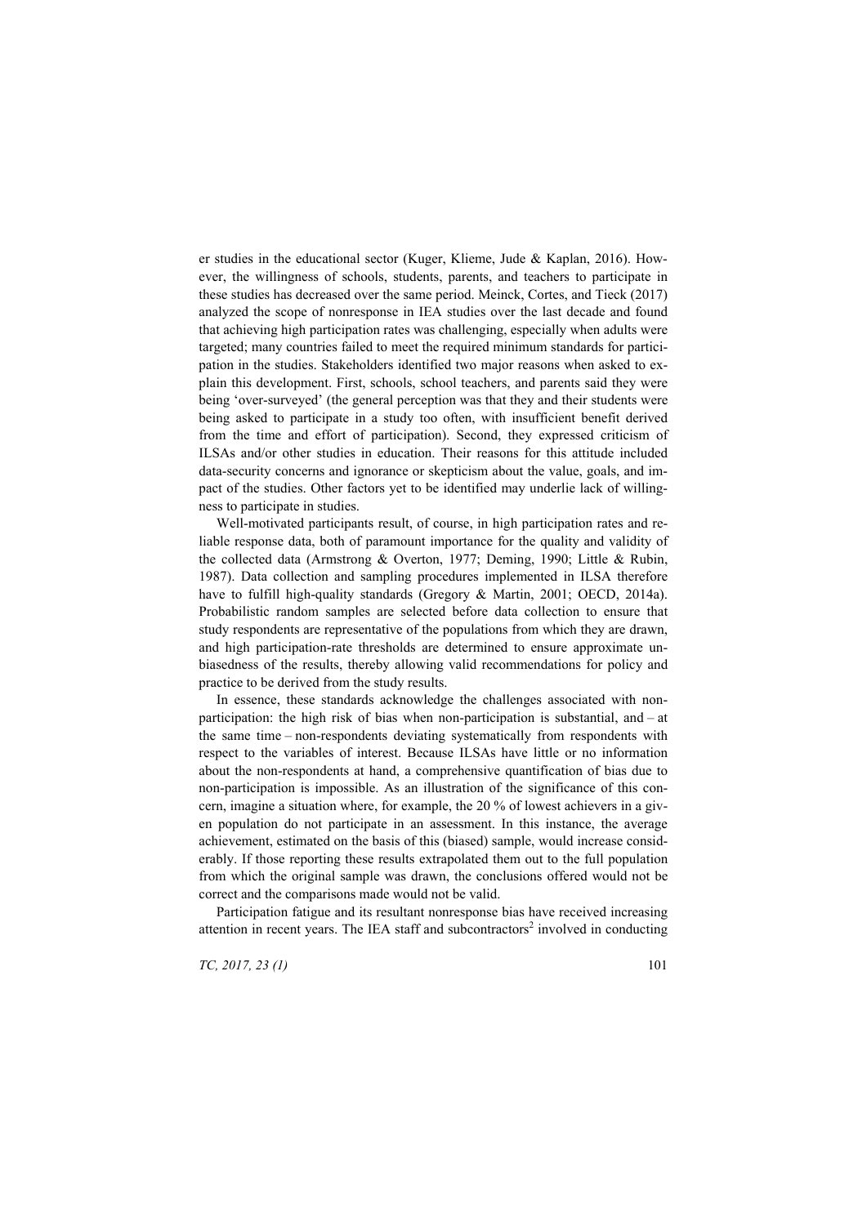er studies in the educational sector (Kuger, Klieme, Jude & Kaplan, 2016). However, the willingness of schools, students, parents, and teachers to participate in these studies has decreased over the same period. Meinck, Cortes, and Tieck (2017) analyzed the scope of nonresponse in IEA studies over the last decade and found that achieving high participation rates was challenging, especially when adults were targeted; many countries failed to meet the required minimum standards for participation in the studies. Stakeholders identified two major reasons when asked to explain this development. First, schools, school teachers, and parents said they were being 'over-surveyed' (the general perception was that they and their students were being asked to participate in a study too often, with insufficient benefit derived from the time and effort of participation). Second, they expressed criticism of ILSAs and/or other studies in education. Their reasons for this attitude included data-security concerns and ignorance or skepticism about the value, goals, and impact of the studies. Other factors yet to be identified may underlie lack of willingness to participate in studies.

Well-motivated participants result, of course, in high participation rates and reliable response data, both of paramount importance for the quality and validity of the collected data (Armstrong & Overton, 1977; Deming, 1990; Little & Rubin, 1987). Data collection and sampling procedures implemented in ILSA therefore have to fulfill high-quality standards (Gregory & Martin, 2001; OECD, 2014a). Probabilistic random samples are selected before data collection to ensure that study respondents are representative of the populations from which they are drawn, and high participation-rate thresholds are determined to ensure approximate unbiasedness of the results, thereby allowing valid recommendations for policy and practice to be derived from the study results.

In essence, these standards acknowledge the challenges associated with nonparticipation: the high risk of bias when non-participation is substantial, and – at the same time – non-respondents deviating systematically from respondents with respect to the variables of interest. Because ILSAs have little or no information about the non-respondents at hand, a comprehensive quantification of bias due to non-participation is impossible. As an illustration of the significance of this concern, imagine a situation where, for example, the 20 % of lowest achievers in a given population do not participate in an assessment. In this instance, the average achievement, estimated on the basis of this (biased) sample, would increase considerably. If those reporting these results extrapolated them out to the full population from which the original sample was drawn, the conclusions offered would not be correct and the comparisons made would not be valid.

Participation fatigue and its resultant nonresponse bias have received increasing attention in recent years. The IEA staff and subcontractors<sup>2</sup> involved in conducting

*TC, 2017, 23 (1)* 101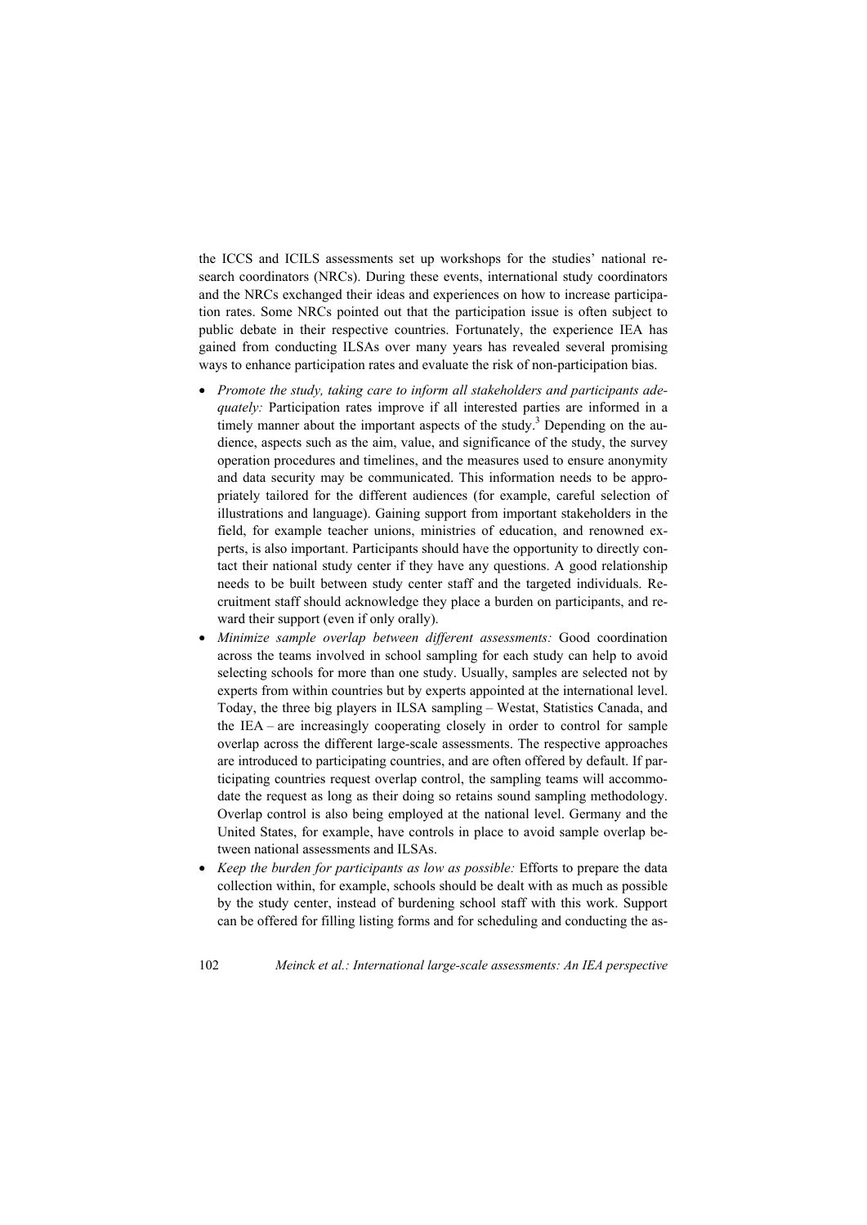the ICCS and ICILS assessments set up workshops for the studies' national research coordinators (NRCs). During these events, international study coordinators and the NRCs exchanged their ideas and experiences on how to increase participation rates. Some NRCs pointed out that the participation issue is often subject to public debate in their respective countries. Fortunately, the experience IEA has gained from conducting ILSAs over many years has revealed several promising ways to enhance participation rates and evaluate the risk of non-participation bias.

- Promote the study, taking care to inform all stakeholders and participants ade*quately:* Participation rates improve if all interested parties are informed in a timely manner about the important aspects of the study.<sup>3</sup> Depending on the audience, aspects such as the aim, value, and significance of the study, the survey operation procedures and timelines, and the measures used to ensure anonymity and data security may be communicated. This information needs to be appropriately tailored for the different audiences (for example, careful selection of illustrations and language). Gaining support from important stakeholders in the field, for example teacher unions, ministries of education, and renowned experts, is also important. Participants should have the opportunity to directly contact their national study center if they have any questions. A good relationship needs to be built between study center staff and the targeted individuals. Recruitment staff should acknowledge they place a burden on participants, and reward their support (even if only orally).
- x *Minimize sample overlap between different assessments:* Good coordination across the teams involved in school sampling for each study can help to avoid selecting schools for more than one study. Usually, samples are selected not by experts from within countries but by experts appointed at the international level. Today, the three big players in ILSA sampling – Westat, Statistics Canada, and the IEA – are increasingly cooperating closely in order to control for sample overlap across the different large-scale assessments. The respective approaches are introduced to participating countries, and are often offered by default. If participating countries request overlap control, the sampling teams will accommodate the request as long as their doing so retains sound sampling methodology. Overlap control is also being employed at the national level. Germany and the United States, for example, have controls in place to avoid sample overlap between national assessments and ILSAs.
- *Keep the burden for participants as low as possible:* Efforts to prepare the data collection within, for example, schools should be dealt with as much as possible by the study center, instead of burdening school staff with this work. Support can be offered for filling listing forms and for scheduling and conducting the as-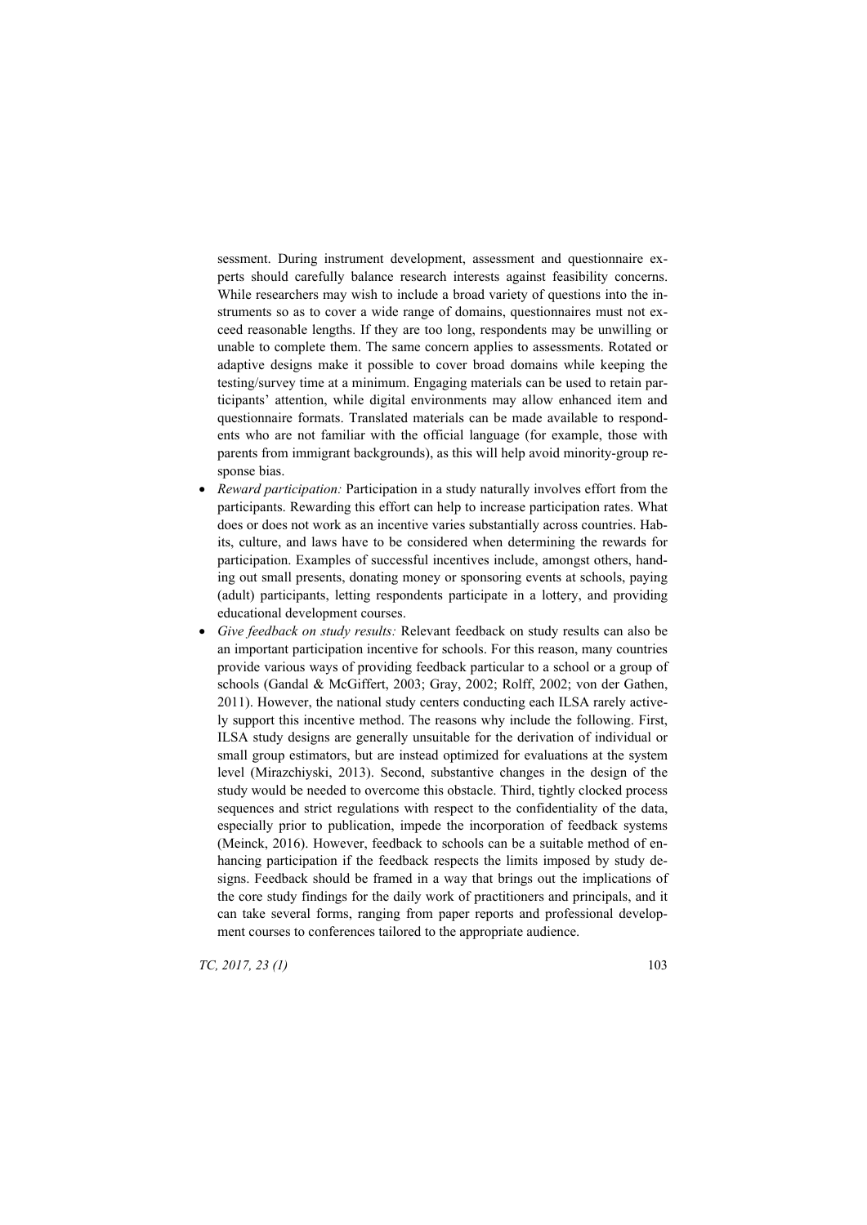sessment. During instrument development, assessment and questionnaire experts should carefully balance research interests against feasibility concerns. While researchers may wish to include a broad variety of questions into the instruments so as to cover a wide range of domains, questionnaires must not exceed reasonable lengths. If they are too long, respondents may be unwilling or unable to complete them. The same concern applies to assessments. Rotated or adaptive designs make it possible to cover broad domains while keeping the testing/survey time at a minimum. Engaging materials can be used to retain participants' attention, while digital environments may allow enhanced item and questionnaire formats. Translated materials can be made available to respondents who are not familiar with the official language (for example, those with parents from immigrant backgrounds), as this will help avoid minority-group response bias.

- *Reward participation:* Participation in a study naturally involves effort from the participants. Rewarding this effort can help to increase participation rates. What does or does not work as an incentive varies substantially across countries. Habits, culture, and laws have to be considered when determining the rewards for participation. Examples of successful incentives include, amongst others, handing out small presents, donating money or sponsoring events at schools, paying (adult) participants, letting respondents participate in a lottery, and providing educational development courses.
- x *Give feedback on study results:* Relevant feedback on study results can also be an important participation incentive for schools. For this reason, many countries provide various ways of providing feedback particular to a school or a group of schools (Gandal & McGiffert, 2003; Gray, 2002; Rolff, 2002; von der Gathen, 2011). However, the national study centers conducting each ILSA rarely actively support this incentive method. The reasons why include the following. First, ILSA study designs are generally unsuitable for the derivation of individual or small group estimators, but are instead optimized for evaluations at the system level (Mirazchiyski, 2013). Second, substantive changes in the design of the study would be needed to overcome this obstacle. Third, tightly clocked process sequences and strict regulations with respect to the confidentiality of the data, especially prior to publication, impede the incorporation of feedback systems (Meinck, 2016). However, feedback to schools can be a suitable method of enhancing participation if the feedback respects the limits imposed by study designs. Feedback should be framed in a way that brings out the implications of the core study findings for the daily work of practitioners and principals, and it can take several forms, ranging from paper reports and professional development courses to conferences tailored to the appropriate audience.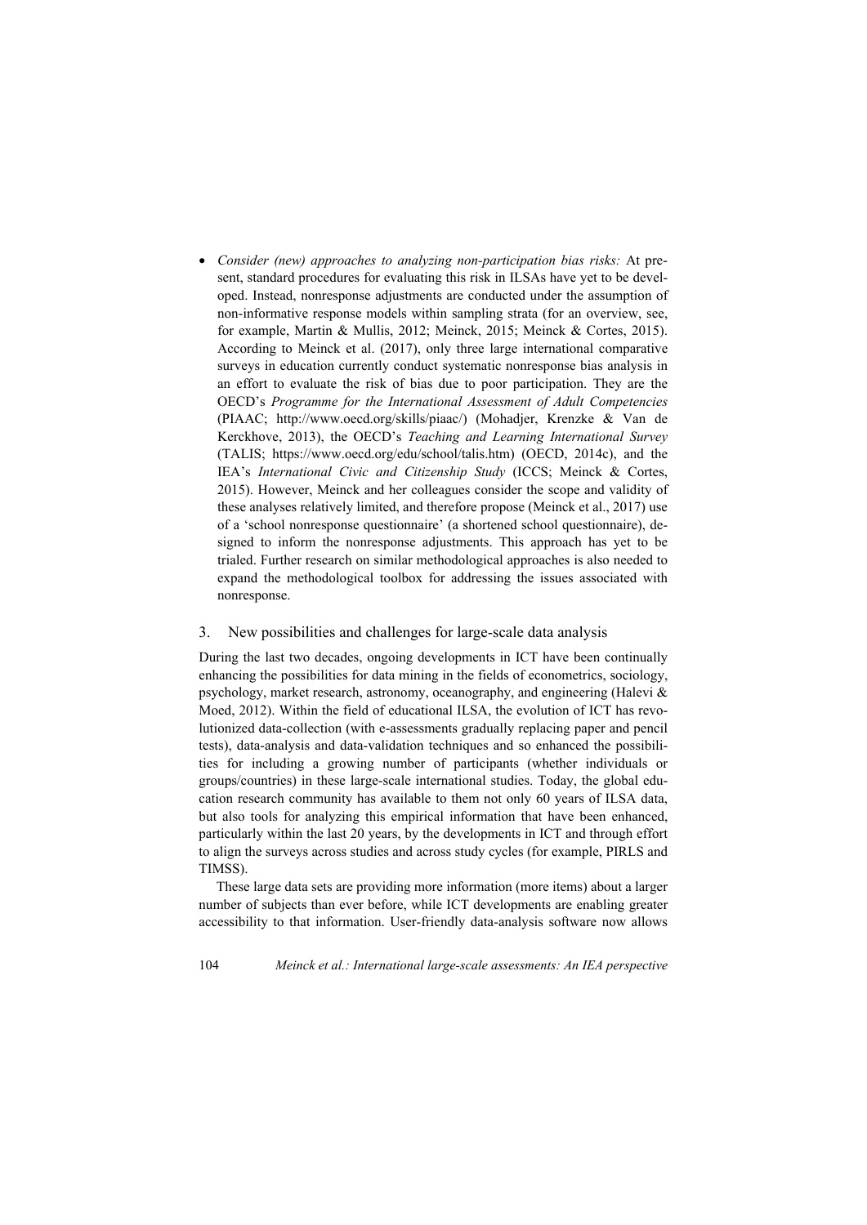x *Consider (new) approaches to analyzing non-participation bias risks:* At present, standard procedures for evaluating this risk in ILSAs have yet to be developed. Instead, nonresponse adjustments are conducted under the assumption of non-informative response models within sampling strata (for an overview, see, for example, Martin & Mullis, 2012; Meinck, 2015; Meinck & Cortes, 2015). According to Meinck et al. (2017), only three large international comparative surveys in education currently conduct systematic nonresponse bias analysis in an effort to evaluate the risk of bias due to poor participation. They are the OECD's *Programme for the International Assessment of Adult Competencies* (PIAAC; http://www.oecd.org/skills/piaac/) (Mohadjer, Krenzke & Van de Kerckhove, 2013), the OECD's *Teaching and Learning International Survey* (TALIS; https://www.oecd.org/edu/school/talis.htm) (OECD, 2014c), and the IEA's *International Civic and Citizenship Study* (ICCS; Meinck & Cortes, 2015). However, Meinck and her colleagues consider the scope and validity of these analyses relatively limited, and therefore propose (Meinck et al., 2017) use of a 'school nonresponse questionnaire' (a shortened school questionnaire), designed to inform the nonresponse adjustments. This approach has yet to be trialed. Further research on similar methodological approaches is also needed to expand the methodological toolbox for addressing the issues associated with nonresponse.

## 3. New possibilities and challenges for large-scale data analysis

During the last two decades, ongoing developments in ICT have been continually enhancing the possibilities for data mining in the fields of econometrics, sociology, psychology, market research, astronomy, oceanography, and engineering (Halevi & Moed, 2012). Within the field of educational ILSA, the evolution of ICT has revolutionized data-collection (with e-assessments gradually replacing paper and pencil tests), data-analysis and data-validation techniques and so enhanced the possibilities for including a growing number of participants (whether individuals or groups/countries) in these large-scale international studies. Today, the global education research community has available to them not only 60 years of ILSA data, but also tools for analyzing this empirical information that have been enhanced, particularly within the last 20 years, by the developments in ICT and through effort to align the surveys across studies and across study cycles (for example, PIRLS and TIMSS).

These large data sets are providing more information (more items) about a larger number of subjects than ever before, while ICT developments are enabling greater accessibility to that information. User-friendly data-analysis software now allows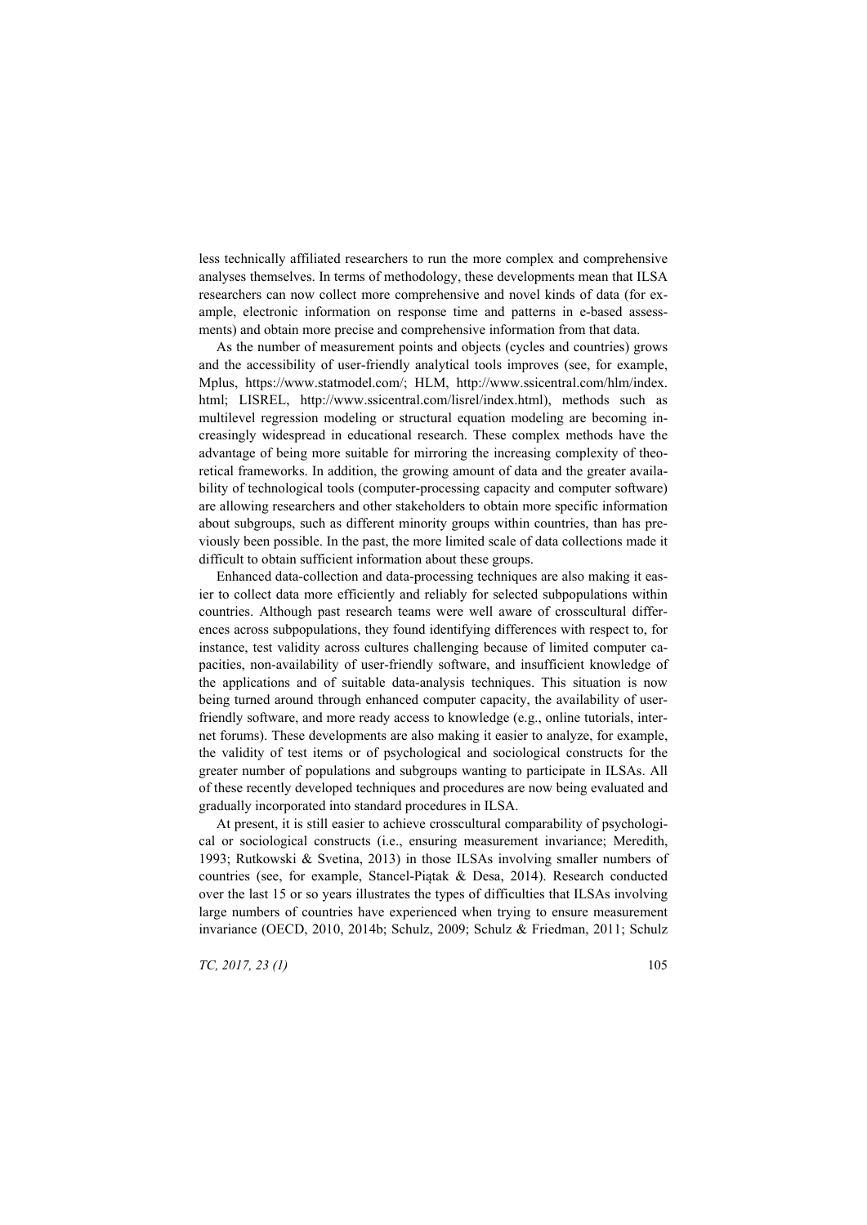less technically affiliated researchers to run the more complex and comprehensive analyses themselves. In terms of methodology, these developments mean that ILSA researchers can now collect more comprehensive and novel kinds of data (for example, electronic information on response time and patterns in e-based assessments) and obtain more precise and comprehensive information from that data.

As the number of measurement points and objects (cycles and countries) grows and the accessibility of user-friendly analytical tools improves (see, for example, Mplus, https://www.statmodel.com/; HLM, http://www.ssicentral.com/hlm/index. html; LISREL, http://www.ssicentral.com/lisrel/index.html), methods such as multilevel regression modeling or structural equation modeling are becoming increasingly widespread in educational research. These complex methods have the advantage of being more suitable for mirroring the increasing complexity of theoretical frameworks. In addition, the growing amount of data and the greater availability of technological tools (computer-processing capacity and computer software) are allowing researchers and other stakeholders to obtain more specific information about subgroups, such as different minority groups within countries, than has previously been possible. In the past, the more limited scale of data collections made it difficult to obtain sufficient information about these groups.

Enhanced data-collection and data-processing techniques are also making it easier to collect data more efficiently and reliably for selected subpopulations within countries. Although past research teams were well aware of crosscultural differences across subpopulations, they found identifying differences with respect to, for instance, test validity across cultures challenging because of limited computer capacities, non-availability of user-friendly software, and insufficient knowledge of the applications and of suitable data-analysis techniques. This situation is now being turned around through enhanced computer capacity, the availability of userfriendly software, and more ready access to knowledge (e.g., online tutorials, internet forums). These developments are also making it easier to analyze, for example, the validity of test items or of psychological and sociological constructs for the greater number of populations and subgroups wanting to participate in ILSAs. All of these recently developed techniques and procedures are now being evaluated and gradually incorporated into standard procedures in ILSA.

At present, it is still easier to achieve crosscultural comparability of psychological or sociological constructs (i.e., ensuring measurement invariance; Meredith, 1993; Rutkowski & Svetina, 2013) in those ILSAs involving smaller numbers of countries (see, for example, Stancel-Piątak & Desa, 2014). Research conducted over the last 15 or so years illustrates the types of difficulties that ILSAs involving large numbers of countries have experienced when trying to ensure measurement invariance (OECD, 2010, 2014b; Schulz, 2009; Schulz & Friedman, 2011; Schulz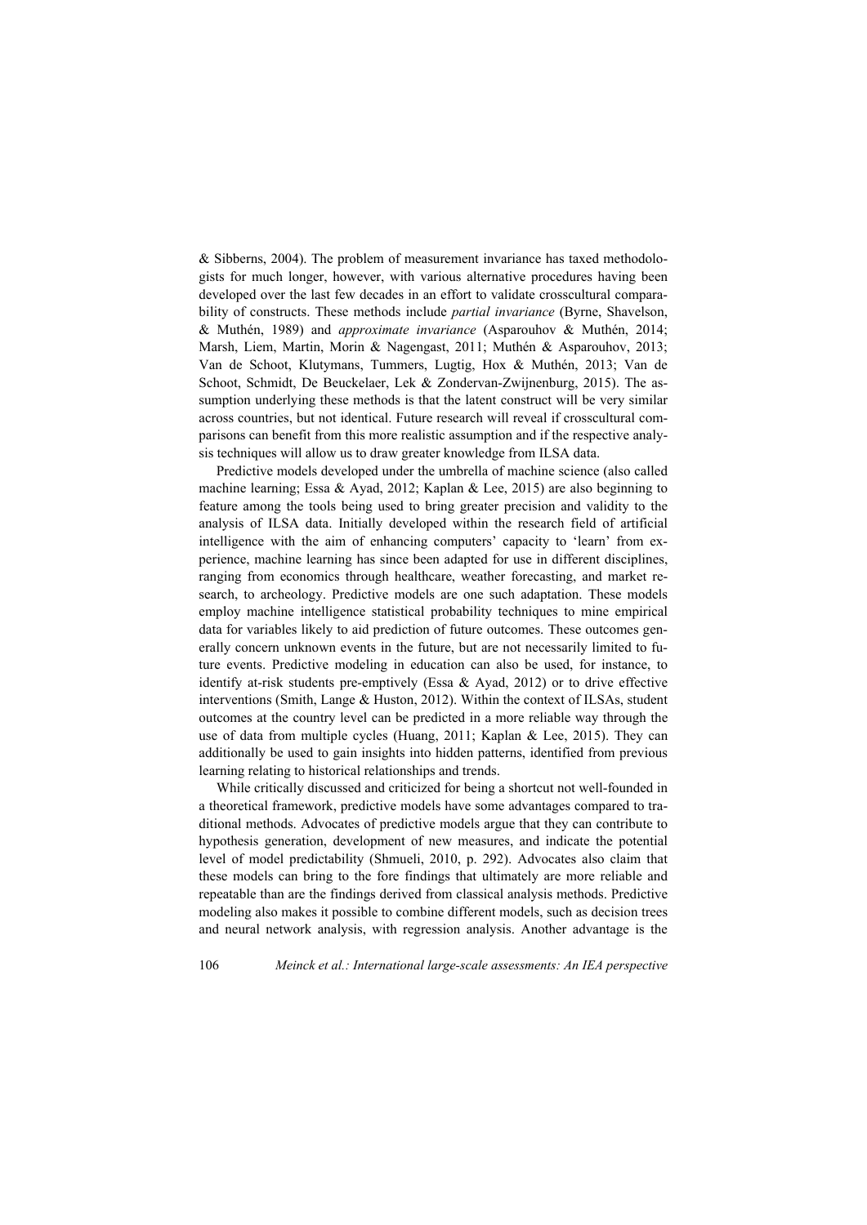& Sibberns, 2004). The problem of measurement invariance has taxed methodologists for much longer, however, with various alternative procedures having been developed over the last few decades in an effort to validate crosscultural comparability of constructs. These methods include *partial invariance* (Byrne, Shavelson, & Muthén, 1989) and *approximate invariance* (Asparouhov & Muthén, 2014; Marsh, Liem, Martin, Morin & Nagengast, 2011; Muthén & Asparouhov, 2013; Van de Schoot, Klutymans, Tummers, Lugtig, Hox & Muthén, 2013; Van de Schoot, Schmidt, De Beuckelaer, Lek & Zondervan-Zwijnenburg, 2015). The assumption underlying these methods is that the latent construct will be very similar across countries, but not identical. Future research will reveal if crosscultural comparisons can benefit from this more realistic assumption and if the respective analysis techniques will allow us to draw greater knowledge from ILSA data.

Predictive models developed under the umbrella of machine science (also called machine learning; Essa & Ayad, 2012; Kaplan & Lee, 2015) are also beginning to feature among the tools being used to bring greater precision and validity to the analysis of ILSA data. Initially developed within the research field of artificial intelligence with the aim of enhancing computers' capacity to 'learn' from experience, machine learning has since been adapted for use in different disciplines, ranging from economics through healthcare, weather forecasting, and market research, to archeology. Predictive models are one such adaptation. These models employ machine intelligence statistical probability techniques to mine empirical data for variables likely to aid prediction of future outcomes. These outcomes generally concern unknown events in the future, but are not necessarily limited to future events. Predictive modeling in education can also be used, for instance, to identify at-risk students pre-emptively (Essa & Ayad, 2012) or to drive effective interventions (Smith, Lange & Huston, 2012). Within the context of ILSAs, student outcomes at the country level can be predicted in a more reliable way through the use of data from multiple cycles (Huang, 2011; Kaplan & Lee, 2015). They can additionally be used to gain insights into hidden patterns, identified from previous learning relating to historical relationships and trends.

While critically discussed and criticized for being a shortcut not well-founded in a theoretical framework, predictive models have some advantages compared to traditional methods. Advocates of predictive models argue that they can contribute to hypothesis generation, development of new measures, and indicate the potential level of model predictability (Shmueli, 2010, p. 292). Advocates also claim that these models can bring to the fore findings that ultimately are more reliable and repeatable than are the findings derived from classical analysis methods. Predictive modeling also makes it possible to combine different models, such as decision trees and neural network analysis, with regression analysis. Another advantage is the

106 *Meinck et al.: International large-scale assessments: An IEA perspective*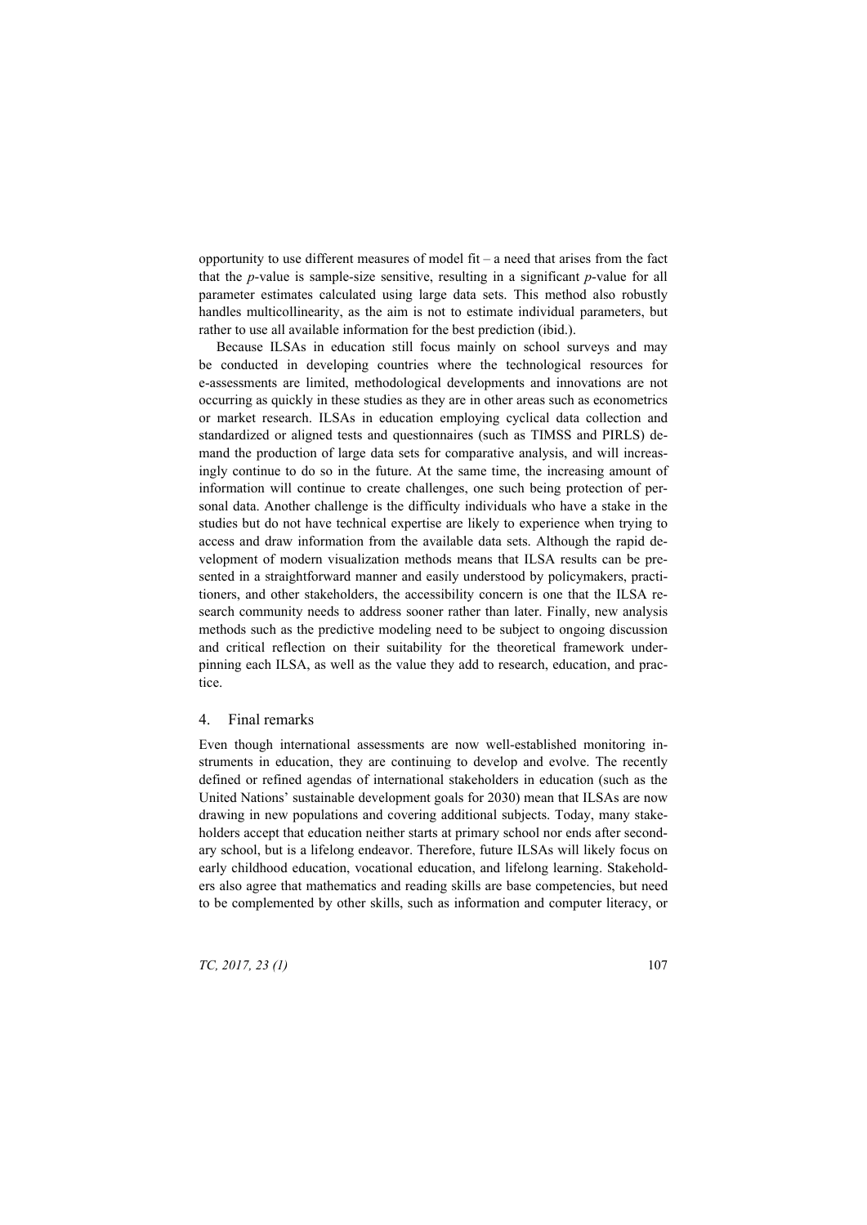opportunity to use different measures of model fit  $-$  a need that arises from the fact that the *p*-value is sample-size sensitive, resulting in a significant *p*-value for all parameter estimates calculated using large data sets. This method also robustly handles multicollinearity, as the aim is not to estimate individual parameters, but rather to use all available information for the best prediction (ibid.).

Because ILSAs in education still focus mainly on school surveys and may be conducted in developing countries where the technological resources for e-assessments are limited, methodological developments and innovations are not occurring as quickly in these studies as they are in other areas such as econometrics or market research. ILSAs in education employing cyclical data collection and standardized or aligned tests and questionnaires (such as TIMSS and PIRLS) demand the production of large data sets for comparative analysis, and will increasingly continue to do so in the future. At the same time, the increasing amount of information will continue to create challenges, one such being protection of personal data. Another challenge is the difficulty individuals who have a stake in the studies but do not have technical expertise are likely to experience when trying to access and draw information from the available data sets. Although the rapid development of modern visualization methods means that ILSA results can be presented in a straightforward manner and easily understood by policymakers, practitioners, and other stakeholders, the accessibility concern is one that the ILSA research community needs to address sooner rather than later. Finally, new analysis methods such as the predictive modeling need to be subject to ongoing discussion and critical reflection on their suitability for the theoretical framework underpinning each ILSA, as well as the value they add to research, education, and practice.

## 4. Final remarks

Even though international assessments are now well-established monitoring instruments in education, they are continuing to develop and evolve. The recently defined or refined agendas of international stakeholders in education (such as the United Nations' sustainable development goals for 2030) mean that ILSAs are now drawing in new populations and covering additional subjects. Today, many stakeholders accept that education neither starts at primary school nor ends after secondary school, but is a lifelong endeavor. Therefore, future ILSAs will likely focus on early childhood education, vocational education, and lifelong learning. Stakeholders also agree that mathematics and reading skills are base competencies, but need to be complemented by other skills, such as information and computer literacy, or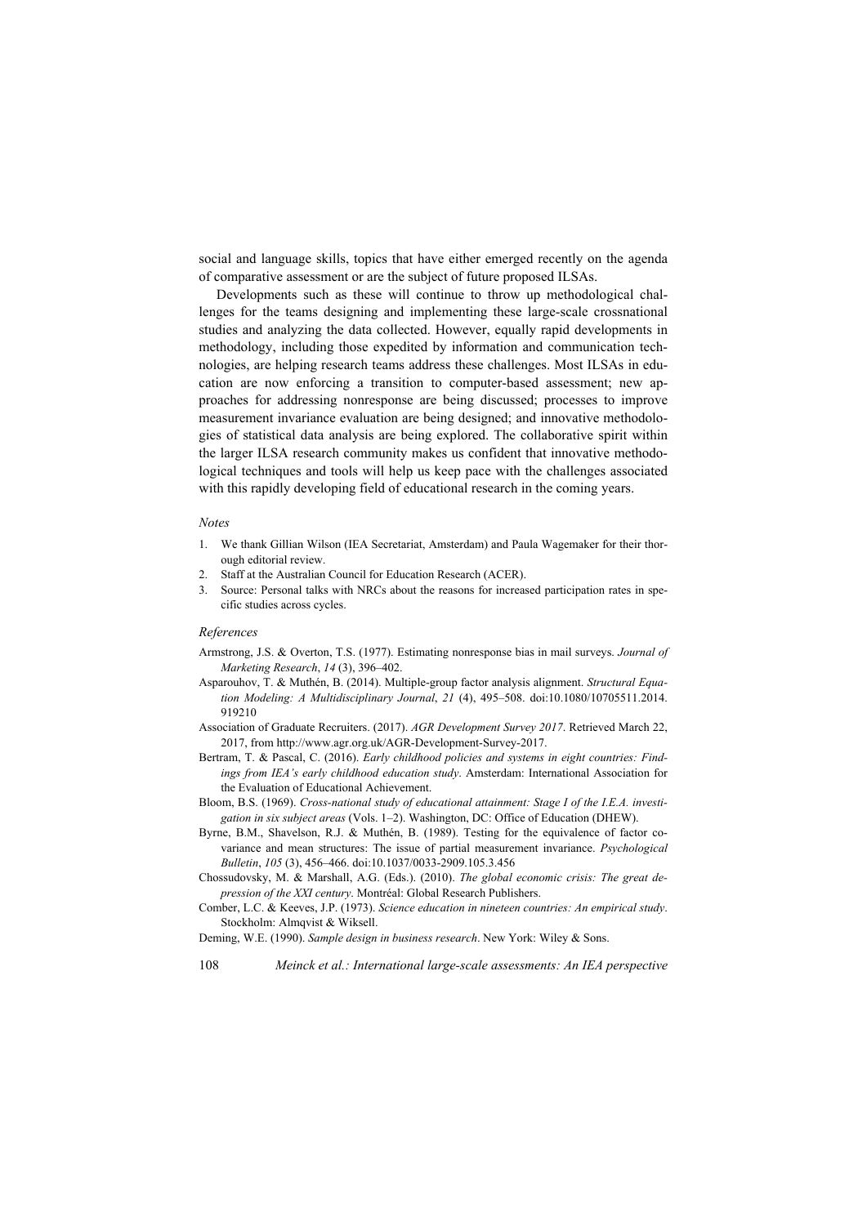social and language skills, topics that have either emerged recently on the agenda of comparative assessment or are the subject of future proposed ILSAs.

Developments such as these will continue to throw up methodological challenges for the teams designing and implementing these large-scale crossnational studies and analyzing the data collected. However, equally rapid developments in methodology, including those expedited by information and communication technologies, are helping research teams address these challenges. Most ILSAs in education are now enforcing a transition to computer-based assessment; new approaches for addressing nonresponse are being discussed; processes to improve measurement invariance evaluation are being designed; and innovative methodologies of statistical data analysis are being explored. The collaborative spirit within the larger ILSA research community makes us confident that innovative methodological techniques and tools will help us keep pace with the challenges associated with this rapidly developing field of educational research in the coming years.

#### *Notes*

- 1. We thank Gillian Wilson (IEA Secretariat, Amsterdam) and Paula Wagemaker for their thorough editorial review.
- 2. Staff at the Australian Council for Education Research (ACER).
- 3. Source: Personal talks with NRCs about the reasons for increased participation rates in specific studies across cycles.

#### *References*

- Armstrong, J.S. & Overton, T.S. (1977). Estimating nonresponse bias in mail surveys. *Journal of Marketing Research*, *14* (3), 396–402.
- Asparouhov, T. & Muthén, B. (2014). Multiple-group factor analysis alignment. *Structural Equation Modeling: A Multidisciplinary Journal*, *21* (4), 495–508. doi:10.1080/10705511.2014. 919210
- Association of Graduate Recruiters. (2017). *AGR Development Survey 2017*. Retrieved March 22, 2017, from http://www.agr.org.uk/AGR-Development-Survey-2017.
- Bertram, T. & Pascal, C. (2016). *Early childhood policies and systems in eight countries: Findings from IEA's early childhood education study*. Amsterdam: International Association for the Evaluation of Educational Achievement.
- Bloom, B.S. (1969). *Cross-national study of educational attainment: Stage I of the I.E.A. investigation in six subject areas* (Vols. 1–2). Washington, DC: Office of Education (DHEW).
- Byrne, B.M., Shavelson, R.J. & Muthén, B. (1989). Testing for the equivalence of factor covariance and mean structures: The issue of partial measurement invariance. *Psychological Bulletin*, *105* (3), 456–466. doi:10.1037/0033-2909.105.3.456
- Chossudovsky, M. & Marshall, A.G. (Eds.). (2010). *The global economic crisis: The great depression of the XXI century*. Montréal: Global Research Publishers.
- Comber, L.C. & Keeves, J.P. (1973). *Science education in nineteen countries: An empirical study*. Stockholm: Almqvist & Wiksell.
- Deming, W.E. (1990). *Sample design in business research*. New York: Wiley & Sons.
- 108 *Meinck et al.: International large-scale assessments: An IEA perspective*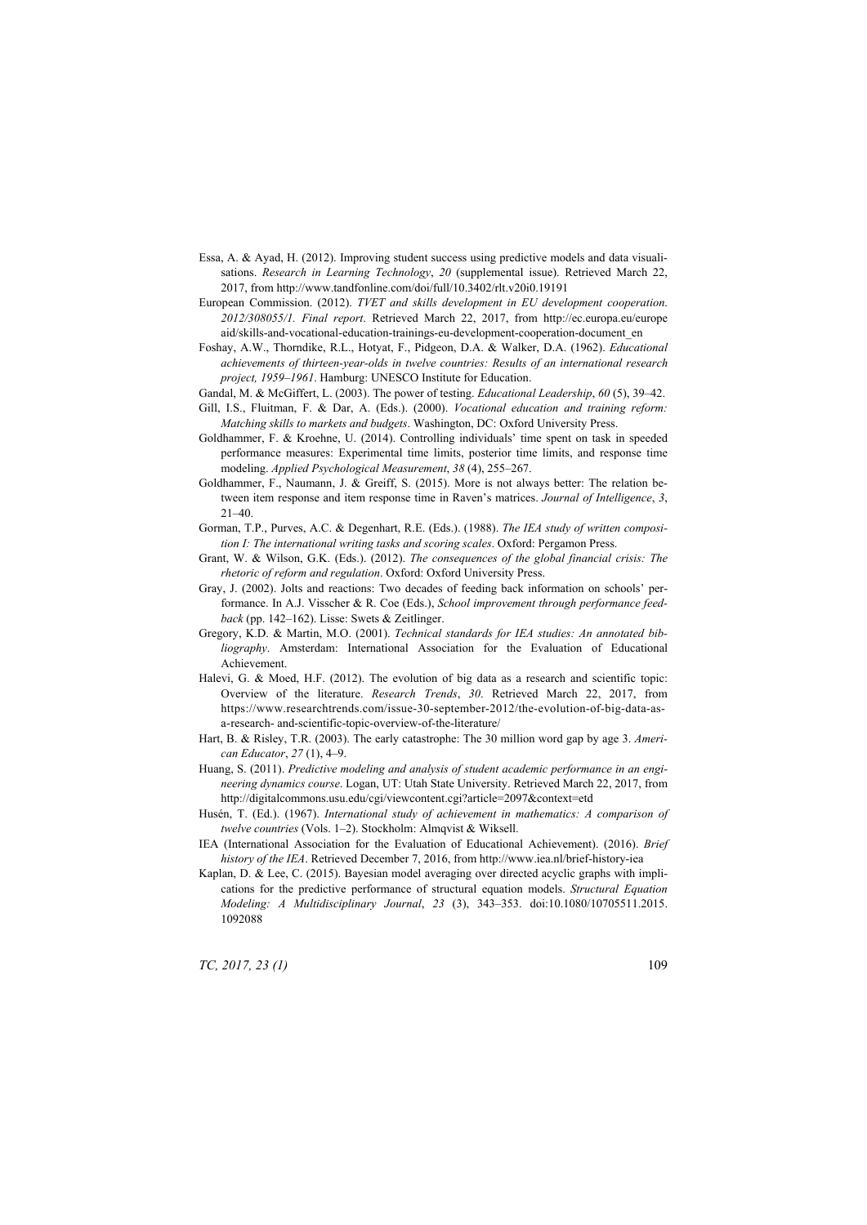- Essa, A. & Ayad, H. (2012). Improving student success using predictive models and data visualisations. *Research in Learning Technology*, *20* (supplemental issue). Retrieved March 22, 2017, from http://www.tandfonline.com/doi/full/10.3402/rlt.v20i0.19191
- European Commission. (2012). *TVET and skills development in EU development cooperation*. *2012/308055/1. Final report*. Retrieved March 22, 2017, from http://ec.europa.eu/europe aid/skills-and-vocational-education-trainings-eu-development-cooperation-document\_en
- Foshay, A.W., Thorndike, R.L., Hotyat, F., Pidgeon, D.A. & Walker, D.A. (1962). *Educational achievements of thirteen-year-olds in twelve countries: Results of an international research project, 1959–1961*. Hamburg: UNESCO Institute for Education.
- Gandal, M. & McGiffert, L. (2003). The power of testing. *Educational Leadership*, *60* (5), 39–42.
- Gill, I.S., Fluitman, F. & Dar, A. (Eds.). (2000). *Vocational education and training reform: Matching skills to markets and budgets*. Washington, DC: Oxford University Press.
- Goldhammer, F. & Kroehne, U. (2014). Controlling individuals' time spent on task in speeded performance measures: Experimental time limits, posterior time limits, and response time modeling. *Applied Psychological Measurement*, *38* (4), 255–267.
- Goldhammer, F., Naumann, J. & Greiff, S. (2015). More is not always better: The relation between item response and item response time in Raven's matrices. *Journal of Intelligence*, *3*, 21–40.
- Gorman, T.P., Purves, A.C. & Degenhart, R.E. (Eds.). (1988). *The IEA study of written composition I: The international writing tasks and scoring scales*. Oxford: Pergamon Press.
- Grant, W. & Wilson, G.K. (Eds.). (2012). *The consequences of the global financial crisis: The rhetoric of reform and regulation*. Oxford: Oxford University Press.
- Gray, J. (2002). Jolts and reactions: Two decades of feeding back information on schools' performance. In A.J. Visscher & R. Coe (Eds.), *School improvement through performance feedback* (pp. 142–162). Lisse: Swets & Zeitlinger.
- Gregory, K.D. & Martin, M.O. (2001). *Technical standards for IEA studies: An annotated bibliography*. Amsterdam: International Association for the Evaluation of Educational Achievement.
- Halevi, G. & Moed, H.F. (2012). The evolution of big data as a research and scientific topic: Overview of the literature. *Research Trends*, *30*. Retrieved March 22, 2017, from https://www.researchtrends.com/issue-30-september-2012/the-evolution-of-big-data-asa-research- and-scientific-topic-overview-of-the-literature/
- Hart, B. & Risley, T.R. (2003). The early catastrophe: The 30 million word gap by age 3. *American Educator*, *27* (1), 4–9.
- Huang, S. (2011). *Predictive modeling and analysis of student academic performance in an engineering dynamics course*. Logan, UT: Utah State University. Retrieved March 22, 2017, from http://digitalcommons.usu.edu/cgi/viewcontent.cgi?article=2097&context=etd
- Husén, T. (Ed.). (1967). *International study of achievement in mathematics: A comparison of twelve countries* (Vols. 1–2). Stockholm: Almqvist & Wiksell.
- IEA (International Association for the Evaluation of Educational Achievement). (2016). *Brief history of the IEA*. Retrieved December 7, 2016, from http://www.iea.nl/brief-history-iea
- Kaplan, D. & Lee, C. (2015). Bayesian model averaging over directed acyclic graphs with implications for the predictive performance of structural equation models. *Structural Equation Modeling: A Multidisciplinary Journal*, *23* (3), 343–353. doi:10.1080/10705511.2015. 1092088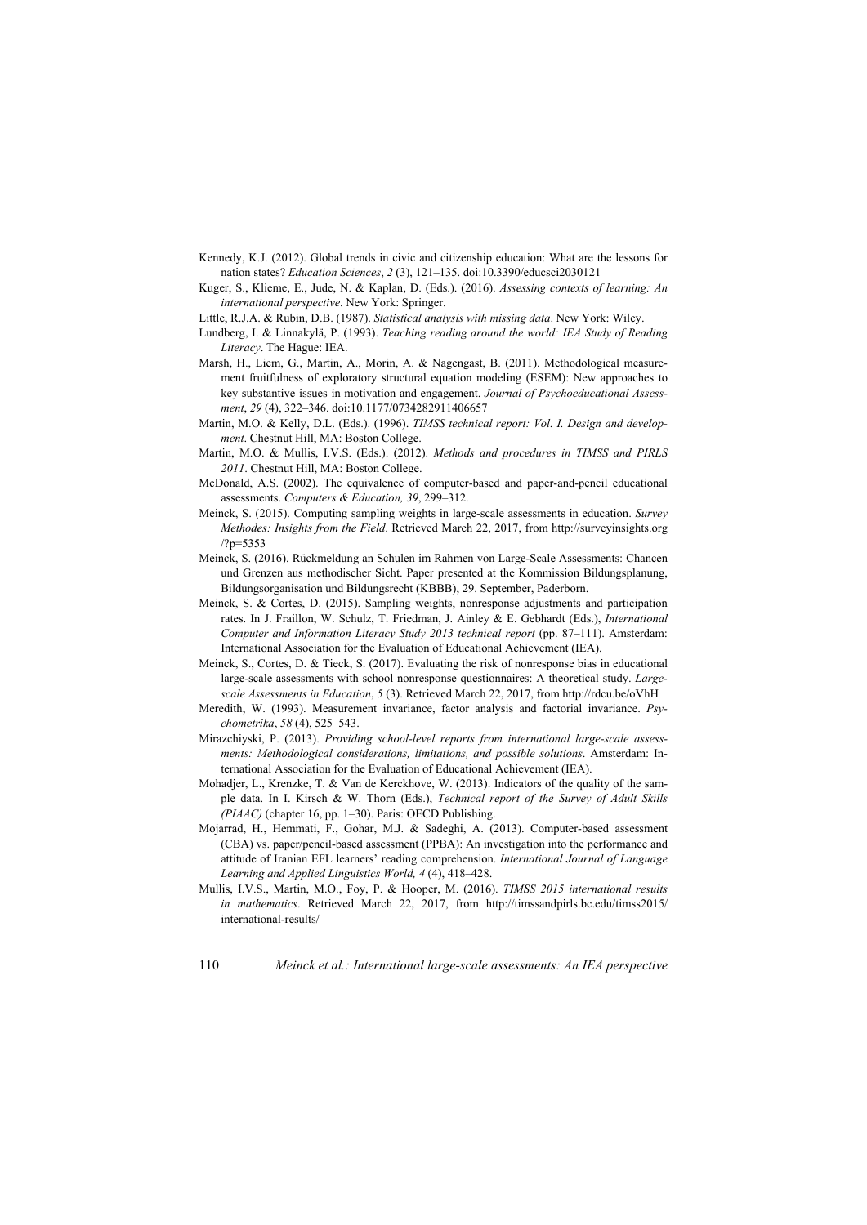- Kennedy, K.J. (2012). Global trends in civic and citizenship education: What are the lessons for nation states? *Education Sciences*, *2* (3), 121–135. doi:10.3390/educsci2030121
- Kuger, S., Klieme, E., Jude, N. & Kaplan, D. (Eds.). (2016). *Assessing contexts of learning: An international perspective*. New York: Springer.
- Little, R.J.A. & Rubin, D.B. (1987). *Statistical analysis with missing data*. New York: Wiley.
- Lundberg, I. & Linnakylä, P. (1993). *Teaching reading around the world: IEA Study of Reading Literacy*. The Hague: IEA.
- Marsh, H., Liem, G., Martin, A., Morin, A. & Nagengast, B. (2011). Methodological measurement fruitfulness of exploratory structural equation modeling (ESEM): New approaches to key substantive issues in motivation and engagement. *Journal of Psychoeducational Assessment*, *29* (4), 322–346. doi:10.1177/0734282911406657
- Martin, M.O. & Kelly, D.L. (Eds.). (1996). *TIMSS technical report: Vol. I. Design and development*. Chestnut Hill, MA: Boston College.
- Martin, M.O. & Mullis, I.V.S. (Eds.). (2012). *Methods and procedures in TIMSS and PIRLS 2011*. Chestnut Hill, MA: Boston College.
- McDonald, A.S. (2002). The equivalence of computer-based and paper-and-pencil educational assessments. *Computers & Education, 39*, 299–312.
- Meinck, S. (2015). Computing sampling weights in large-scale assessments in education. *Survey Methodes: Insights from the Field*. Retrieved March 22, 2017, from http://surveyinsights.org /?p=5353
- Meinck, S. (2016). Rückmeldung an Schulen im Rahmen von Large-Scale Assessments: Chancen und Grenzen aus methodischer Sicht. Paper presented at the Kommission Bildungsplanung, Bildungsorganisation und Bildungsrecht (KBBB), 29. September, Paderborn.
- Meinck, S. & Cortes, D. (2015). Sampling weights, nonresponse adjustments and participation rates. In J. Fraillon, W. Schulz, T. Friedman, J. Ainley & E. Gebhardt (Eds.), *International Computer and Information Literacy Study 2013 technical report* (pp. 87–111). Amsterdam: International Association for the Evaluation of Educational Achievement (IEA).
- Meinck, S., Cortes, D. & Tieck, S. (2017). Evaluating the risk of nonresponse bias in educational large-scale assessments with school nonresponse questionnaires: A theoretical study. *Largescale Assessments in Education*, *5* (3). Retrieved March 22, 2017, from http://rdcu.be/oVhH
- Meredith, W. (1993). Measurement invariance, factor analysis and factorial invariance. *Psychometrika*, *58* (4), 525–543.
- Mirazchiyski, P. (2013). *Providing school-level reports from international large-scale assessments: Methodological considerations, limitations, and possible solutions*. Amsterdam: International Association for the Evaluation of Educational Achievement (IEA).
- Mohadjer, L., Krenzke, T. & Van de Kerckhove, W. (2013). Indicators of the quality of the sample data. In I. Kirsch & W. Thorn (Eds.), *Technical report of the Survey of Adult Skills (PIAAC)* (chapter 16, pp. 1–30). Paris: OECD Publishing.
- Mojarrad, H., Hemmati, F., Gohar, M.J. & Sadeghi, A. (2013). Computer-based assessment (CBA) vs. paper/pencil-based assessment (PPBA): An investigation into the performance and attitude of Iranian EFL learners' reading comprehension. *International Journal of Language Learning and Applied Linguistics World, 4* (4), 418–428.
- Mullis, I.V.S., Martin, M.O., Foy, P. & Hooper, M. (2016). *TIMSS 2015 international results in mathematics*. Retrieved March 22, 2017, from http://timssandpirls.bc.edu/timss2015/ international-results/
- 110 *Meinck et al.: International large-scale assessments: An IEA perspective*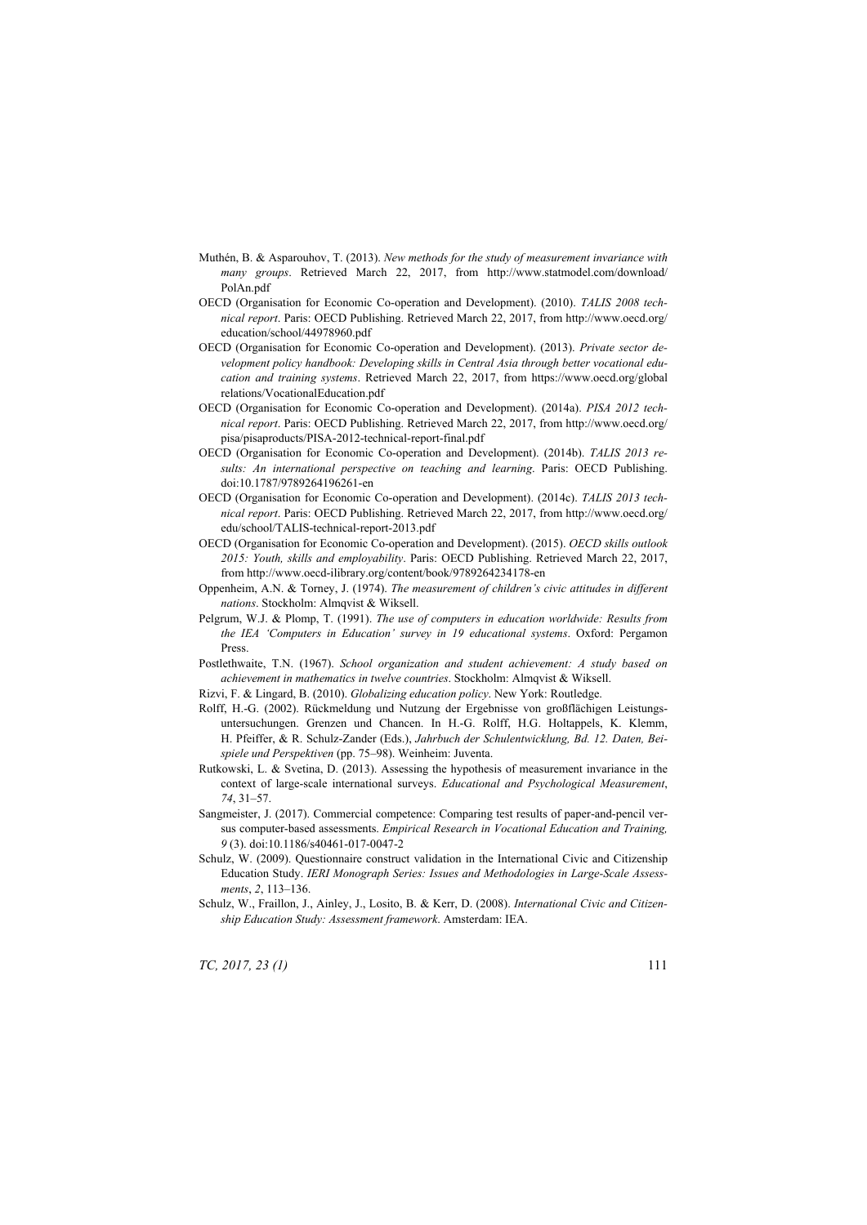- Muthén, B. & Asparouhov, T. (2013). *New methods for the study of measurement invariance with many groups*. Retrieved March 22, 2017, from http://www.statmodel.com/download/ PolAn.pdf
- OECD (Organisation for Economic Co-operation and Development). (2010). *TALIS 2008 technical report*. Paris: OECD Publishing. Retrieved March 22, 2017, from http://www.oecd.org/ education/school/44978960.pdf
- OECD (Organisation for Economic Co-operation and Development). (2013). *Private sector development policy handbook: Developing skills in Central Asia through better vocational education and training systems*. Retrieved March 22, 2017, from https://www.oecd.org/global relations/VocationalEducation.pdf
- OECD (Organisation for Economic Co-operation and Development). (2014a). *PISA 2012 technical report*. Paris: OECD Publishing. Retrieved March 22, 2017, from http://www.oecd.org/ pisa/pisaproducts/PISA-2012-technical-report-final.pdf
- OECD (Organisation for Economic Co-operation and Development). (2014b). *TALIS 2013 results: An international perspective on teaching and learning*. Paris: OECD Publishing. doi:10.1787/9789264196261-en
- OECD (Organisation for Economic Co-operation and Development). (2014c). *TALIS 2013 technical report*. Paris: OECD Publishing. Retrieved March 22, 2017, from http://www.oecd.org/ edu/school/TALIS-technical-report-2013.pdf
- OECD (Organisation for Economic Co-operation and Development). (2015). *OECD skills outlook 2015: Youth, skills and employability*. Paris: OECD Publishing. Retrieved March 22, 2017, from http://www.oecd-ilibrary.org/content/book/9789264234178-en
- Oppenheim, A.N. & Torney, J. (1974). *The measurement of children's civic attitudes in different nations*. Stockholm: Almqvist & Wiksell.
- Pelgrum, W.J. & Plomp, T. (1991). *The use of computers in education worldwide: Results from the IEA 'Computers in Education' survey in 19 educational systems*. Oxford: Pergamon Press.
- Postlethwaite, T.N. (1967). *School organization and student achievement: A study based on achievement in mathematics in twelve countries*. Stockholm: Almqvist & Wiksell.
- Rizvi, F. & Lingard, B. (2010). *Globalizing education policy*. New York: Routledge.
- Rolff, H.-G. (2002). Rückmeldung und Nutzung der Ergebnisse von großflächigen Leistungsuntersuchungen. Grenzen und Chancen. In H.-G. Rolff, H.G. Holtappels, K. Klemm, H. Pfeiffer, & R. Schulz-Zander (Eds.), *Jahrbuch der Schulentwicklung, Bd. 12. Daten, Beispiele und Perspektiven* (pp. 75–98). Weinheim: Juventa.
- Rutkowski, L. & Svetina, D. (2013). Assessing the hypothesis of measurement invariance in the context of large-scale international surveys. *Educational and Psychological Measurement*, *74*, 31–57.
- Sangmeister, J. (2017). Commercial competence: Comparing test results of paper-and-pencil versus computer-based assessments. *Empirical Research in Vocational Education and Training, 9* (3). doi:10.1186/s40461-017-0047-2
- Schulz, W. (2009). Questionnaire construct validation in the International Civic and Citizenship Education Study. *IERI Monograph Series: Issues and Methodologies in Large-Scale Assessments*, *2*, 113–136.
- Schulz, W., Fraillon, J., Ainley, J., Losito, B. & Kerr, D. (2008). *International Civic and Citizenship Education Study: Assessment framework*. Amsterdam: IEA.

*TC, 2017, 23 (1)* 111